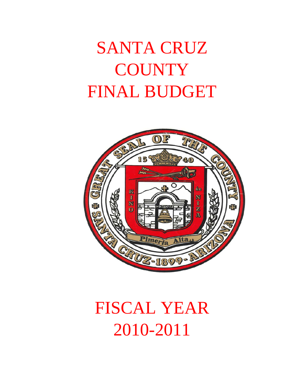# SANTA CRUZ **COUNTY** FINAL BUDGET



# FISCAL YEAR 2010-2011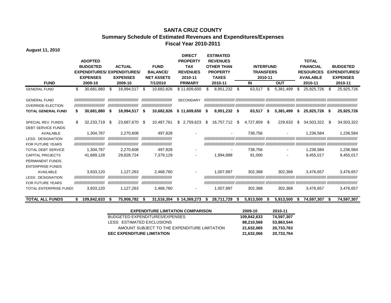#### **SANTA CRUZ COUNTY Summary Schedule of Estimated Revenues and Expenditures/Expenses Fiscal Year 2010-2011**

**August 11, 2010**

|                               |    |                              |    |                                    |      |                              |     | <b>DIRECT</b>    |    | <b>ESTIMATED</b>  |      |                  |      |            |                     |     |                      |
|-------------------------------|----|------------------------------|----|------------------------------------|------|------------------------------|-----|------------------|----|-------------------|------|------------------|------|------------|---------------------|-----|----------------------|
|                               |    | <b>ADOPTED</b>               |    |                                    |      |                              |     | <b>PROPERTY</b>  |    | <b>REVENUES</b>   |      |                  |      |            | <b>TOTAL</b>        |     |                      |
|                               |    | <b>BUDGETED</b>              |    | <b>ACTUAL</b>                      |      | <b>FUND</b>                  |     | <b>TAX</b>       |    | <b>OTHER THAN</b> |      | <b>INTERFUND</b> |      |            | <b>FINANCIAL</b>    |     | <b>BUDGETED</b>      |
|                               |    |                              |    | <b>EXPENDITURES/ EXPENDITURES/</b> |      | <b>BALANCE/</b>              |     | <b>REVENUES</b>  |    | <b>PROPERTY</b>   |      | <b>TRANSFERS</b> |      |            | <b>RESOURCES</b>    |     | <b>EXPENDITURES/</b> |
|                               |    | <b>EXPENSES</b>              |    | <b>EXPENSES</b>                    |      | <b>NET ASSETS</b>            |     | 2010-11          |    | <b>TAXES</b>      |      | 2010-11          |      |            | <b>AVAILABLE</b>    |     | <b>EXPENSES</b>      |
| <b>FUND</b>                   |    | 2009-10                      |    | 2009-10                            |      | 7/1/2010                     |     | <b>PRIMARY</b>   |    | 2010-11           |      | IN               |      | <b>OUT</b> | 2010-11             |     | 2010-11              |
| <b>GENERAL FUND</b>           | \$ | 30,681,880                   | \$ | 18,994,517 \$                      |      | 10,682,826                   |     | \$11,609,650     | \$ | 8,951,232         | - \$ | 63,517           | \$   | 5,381,499  | \$<br>25,925,726    | S   | 25,925,726           |
| <b>GENERAL FUND</b>           |    | ,,,,,,,,,,,,,,,,,,,,,,,,,,   |    | ,,,,,,,,,,,,,,,,,,,,,,,,,,         |      | ,,,,,,,,,,,,,,,,,,,,,,,,,,   |     | <b>SECONDARY</b> |    |                   |      |                  |      |            |                     |     |                      |
| OVERRIDE-ELECTION             |    | ,,,,,,,,,,,,,,,,,,,,,,,,,,   |    | ,,,,,,,,,,,,,,,,,,,,,,,,,,,        |      | ,,,,,,,,,,,,,,,,,,,,,,,,,,   |     |                  |    |                   |      |                  |      |            |                     |     |                      |
| <b>TOTAL GENERAL FUND</b>     | S  | 30,681,880                   | S  | 18,994,517                         | - \$ | 10,682,826                   |     | \$11,609,650     | S  | 8,951,232 \$      |      | 63,517           | - \$ | 5,381,499  | \$<br>25,925,726 \$ |     | 25,925,726           |
| SPECIAL REV. FUNDS            |    | 32,233,719                   | S  | 23,687,670 \$                      |      | 10,487,761                   | \$. | 2,759,623        | S  | 16,757,712        | -S   | 4,727,859        | - \$ | 229,633    | \$<br>34,503,322    | -SS | 34,503,322           |
| <b>DEBT SERVICE FUNDS</b>     |    |                              |    |                                    |      |                              |     |                  |    |                   |      |                  |      |            |                     |     |                      |
| <b>AVAILABLE</b>              |    | 1,304,787                    |    | 2,270,608                          |      | 497,828                      |     |                  |    |                   |      | 738,756          |      |            | 1,236,584           |     | 1,236,584            |
| <b>LESS: DESIGNATION</b>      |    | //////////////////////////// |    | ,,,,,,,,,,,,,,,,,,,,,,,,,          |      | ,,,,,,,,,,,,,,,,,,,,,,,,,,   |     |                  |    |                   |      |                  |      |            |                     |     |                      |
| <b>FOR FUTURE YEARS</b>       |    | //////////////////////////// |    | ////////////////////////////       |      | //////////////////////////// |     |                  |    |                   |      |                  |      |            |                     |     |                      |
| <b>TOTAL DEBT SERVICE</b>     |    | 1,304,787                    |    | 2,270,608                          |      | 497.828                      |     |                  |    |                   |      | 738,756          |      |            | 1,236,584           |     | 1,236,584            |
| <b>CAPITAL PROJECTS</b>       |    | 41,689,128                   |    | 29,828,724                         |      | 7,379,129                    |     | $\blacksquare$   |    | 1,994,888         |      | 81,000           |      |            | 9,455,017           |     | 9,455,017            |
| PERMANENT FUNDS               |    |                              |    |                                    |      |                              |     |                  |    |                   |      |                  |      |            |                     |     |                      |
| <b>ENTERPRISE FUNDS</b>       |    |                              |    |                                    |      |                              |     |                  |    |                   |      |                  |      |            |                     |     |                      |
| <b>AVAILABLE</b>              |    | 3,933,120                    |    | 1,127,263                          |      | 2,468,760                    |     |                  |    | 1,007,897         |      | 302.368          |      | 302,368    | 3,476,657           |     | 3,476,657            |
| <b>LESS: DESIGNATION</b>      |    | //////////////////////////// |    | ,,,,,,,,,,,,,,,,,,,,,,,,,,         |      | ,,,,,,,,,,,,,,,,,,,,,,,,,,   |     |                  |    |                   |      |                  |      |            |                     |     |                      |
| <b>FOR FUTURE YEARS</b>       |    | ,,,,,,,,,,,,,,,,,,,,,,,,,,,  |    | ////////////////////////////       |      | ,,,,,,,,,,,,,,,,,,,,,,,,,,   |     |                  |    |                   |      |                  |      |            |                     |     |                      |
| <b>TOTAL ENTERPRISE FUNDS</b> |    | 3,933,120                    |    | 1,127,263                          |      | 2,468,760                    |     |                  |    | 1,007,897         |      | 302,368          |      | 302.368    | 3,476,657           |     | 3,476,657            |

**TOTAL ALL FUNDS \$ 109,842,633 \$ 75,908,782 \$ 31,516,304 \$ 14,369,273 \$ 28,711,729 \$ 5,913,500 \$ 5,913,500 \$ 74,597,307 \$ 74,597,307**

| <b>EXPENDITURE LIMITATION COMPARISON</b>     | 2009-10     | 2010-11    |
|----------------------------------------------|-------------|------------|
| BUDGETED EXPENDITURES/EXPENSES               | 109,842,633 | 74,597,307 |
| LESS: ESTIMATED EXCLUSIONS                   | 88,210,568  | 53,863,544 |
| AMOUNT SUBJECT TO THE EXPENDITURE LIMITATION | 21,632,065  | 20,733,763 |
| <b>EEC EXPENDITURE LIMITATION</b>            | 21,632,066  | 20,733,764 |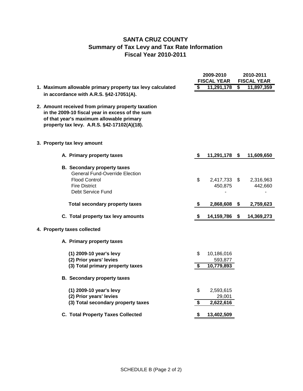# **SANTA CRUZ COUNTY Summary of Tax Levy and Tax Rate Information Fiscal Year 2010-2011**

|                                                                                                                                                                                                 | 2009-2010<br><b>FISCAL YEAR</b> |                                     | 2010-2011<br><b>FISCAL YEAR</b> |                      |  |  |
|-------------------------------------------------------------------------------------------------------------------------------------------------------------------------------------------------|---------------------------------|-------------------------------------|---------------------------------|----------------------|--|--|
| 1. Maximum allowable primary property tax levy calculated                                                                                                                                       | \$                              | 11,291,178                          | S                               | 11,897,359           |  |  |
| in accordance with A.R.S. §42-17051(A).                                                                                                                                                         |                                 |                                     |                                 |                      |  |  |
| 2. Amount received from primary property taxation<br>in the 2009-10 fiscal year in excess of the sum<br>of that year's maximum allowable primary<br>property tax levy. A.R.S. §42-17102(A)(18). |                                 |                                     |                                 |                      |  |  |
| 3. Property tax levy amount                                                                                                                                                                     |                                 |                                     |                                 |                      |  |  |
| A. Primary property taxes                                                                                                                                                                       | S.                              | 11,291,178 \$                       |                                 | 11,609,650           |  |  |
| <b>B. Secondary property taxes</b><br><b>General Fund-Override Election</b><br><b>Flood Control</b><br><b>Fire District</b><br>Debt Service Fund                                                | \$                              | 2,417,733 \$<br>450,875             |                                 | 2,316,963<br>442,660 |  |  |
| <b>Total secondary property taxes</b>                                                                                                                                                           | \$                              | 2,868,608                           | - \$                            | 2,759,623            |  |  |
| C. Total property tax levy amounts                                                                                                                                                              | \$                              | 14,159,786                          | S.                              | 14,369,273           |  |  |
| 4. Property taxes collected                                                                                                                                                                     |                                 |                                     |                                 |                      |  |  |
| A. Primary property taxes                                                                                                                                                                       |                                 |                                     |                                 |                      |  |  |
| (1) 2009-10 year's levy<br>(2) Prior years' levies<br>(3) Total primary property taxes                                                                                                          | \$<br>S                         | 10,186,016<br>593,877<br>10,779,893 |                                 |                      |  |  |
| <b>B. Secondary property taxes</b>                                                                                                                                                              |                                 |                                     |                                 |                      |  |  |
| (1) 2009-10 year's levy<br>(2) Prior years' levies<br>(3) Total secondary property taxes                                                                                                        | \$<br>\$                        | 2,593,615<br>29,001<br>2,622,616    |                                 |                      |  |  |
| <b>C. Total Property Taxes Collected</b>                                                                                                                                                        | \$                              | 13,402,509                          |                                 |                      |  |  |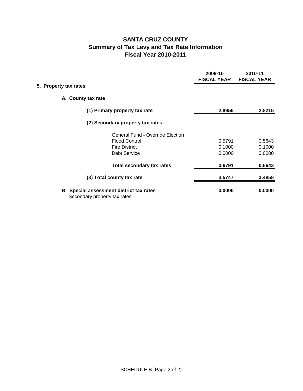# **SANTA CRUZ COUNTY Summary of Tax Levy and Tax Rate Information Fiscal Year 2010-2011**

|                       |                                                                                 | 2009-10<br><b>FISCAL YEAR</b> | 2010-11<br><b>FISCAL YEAR</b> |
|-----------------------|---------------------------------------------------------------------------------|-------------------------------|-------------------------------|
| 5. Property tax rates |                                                                                 |                               |                               |
|                       | A. County tax rate                                                              |                               |                               |
|                       | (1) Primary property tax rate                                                   | 2.8956                        | 2.8215                        |
|                       | (2) Secondary property tax rates                                                |                               |                               |
|                       | <b>General Fund - Override Election</b>                                         |                               |                               |
|                       | <b>Flood Control</b>                                                            | 0.5791                        | 0.5643                        |
|                       | <b>Fire District</b>                                                            | 0.1000                        | 0.1000                        |
|                       | <b>Debt Service</b>                                                             | 0.0000                        | 0.0000                        |
|                       | <b>Total secondary tax rates</b>                                                | 0.6791                        | 0.6643                        |
|                       | (3) Total county tax rate                                                       | 3.5747                        | 3.4858                        |
|                       | <b>B.</b> Special assessment district tax rates<br>Secondary property tax rates | 0.0000                        | 0.0000                        |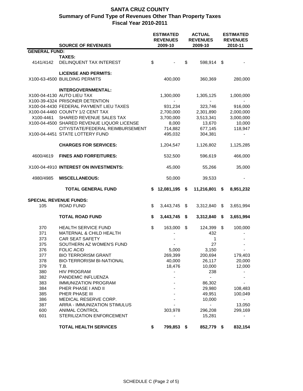|                      | <b>SOURCE OF REVENUES</b>                  | <b>ESTIMATED</b><br><b>REVENUES</b><br>2009-10 |               | <b>ACTUAL</b><br><b>REVENUES</b><br>2009-10 | <b>ESTIMATED</b><br><b>REVENUES</b><br>2010-11 |    |           |
|----------------------|--------------------------------------------|------------------------------------------------|---------------|---------------------------------------------|------------------------------------------------|----|-----------|
| <b>GENERAL FUND:</b> |                                            |                                                |               |                                             |                                                |    |           |
|                      | <b>TAXES:</b>                              |                                                |               |                                             |                                                |    |           |
| 4141/4142            | DELINQUENT TAX INTEREST                    | \$                                             |               | \$                                          | 598,914 \$                                     |    |           |
|                      | <b>LICENSE AND PERMITS:</b>                |                                                |               |                                             |                                                |    |           |
|                      | X100-63-4500 BUILDING PERMITS              |                                                | 400,000       |                                             | 360,369                                        |    | 280,000   |
|                      | <b>INTERGOVERNMENTAL:</b>                  |                                                |               |                                             |                                                |    |           |
|                      | X100-04-4130 AUTO LIEU TAX                 |                                                | 1,300,000     |                                             | 1,305,125                                      |    | 1,000,000 |
|                      | X100-39-4324 PRISONER DETENTION            |                                                |               |                                             |                                                |    |           |
|                      | X100-04-4430 FEDERAL PAYMENT LIEU TAXES    |                                                | 931,234       |                                             | 323,746                                        |    | 916,000   |
|                      | X100-04-4460 COUNTY 1/2 CENT TAX           |                                                | 2,700,000     |                                             | 2,301,890                                      |    | 2,000,000 |
| X100-4461            | SHARED REVENUE SALES TAX                   |                                                | 3,700,000     |                                             | 3,513,341                                      |    | 3,000,000 |
|                      | X100-04-4500 SHARED REVENUE LIQUOR LICENSE |                                                | 8,000         |                                             | 13,670                                         |    | 10,000    |
|                      | CITY/STATE/FEDERAL REIMBURSEMENT           |                                                | 714,882       |                                             | 677,145                                        |    | 118,947   |
|                      | X100-04-4451 STATE LOTTERY FUND            |                                                | 495,032       |                                             | 304,381                                        |    |           |
|                      | <b>CHARGES FOR SERVICES:</b>               |                                                | 1,204,547     |                                             | 1,126,802                                      |    | 1,125,285 |
| 4600/4619            | <b>FINES AND FORFEITURES:</b>              |                                                | 532,500       |                                             | 596,619                                        |    | 466,000   |
|                      | X100-04-4910 INTEREST ON INVESTMENTS:      |                                                | 45,000        |                                             | 55,266                                         |    | 35,000    |
| 4980/4985            | <b>MISCELLANEOUS:</b>                      |                                                | 50,000        |                                             | 39,533                                         |    |           |
|                      | <b>TOTAL GENERAL FUND</b>                  | \$                                             | 12,081,195 \$ |                                             | 11,216,801                                     | \$ | 8,951,232 |
|                      | <b>SPECIAL REVENUE FUNDS:</b>              |                                                |               |                                             |                                                |    |           |
| 105                  | <b>ROAD FUND</b>                           | \$                                             | 3,443,745     | \$                                          | 3,312,840                                      | S  | 3,651,994 |
|                      |                                            |                                                |               |                                             |                                                |    |           |
|                      | <b>TOTAL ROAD FUND</b>                     | \$                                             | 3,443,745     | \$                                          | 3,312,840                                      | \$ | 3,651,994 |
| 370                  | <b>HEALTH SERVICE FUND</b>                 | \$                                             | 163,000       | \$                                          | 124,399                                        | \$ | 100,000   |
| 371                  | MATERNAL & CHILD HEALTH                    |                                                |               |                                             | 432                                            |    |           |
| 373                  | <b>CAR SEAT SAFETY</b>                     |                                                |               |                                             | 1                                              |    |           |
| 375                  | SOUTHERN AZ WOMEN'S FUND                   |                                                |               |                                             | 27                                             |    |           |
| 376                  | <b>FOLIC ACID</b>                          |                                                | 5,000         |                                             | 3,150                                          |    |           |
| 377                  | <b>BIO TERRORISM GRANT</b>                 |                                                | 269,399       |                                             | 200,694                                        |    | 179,403   |
| 378                  | <b>BIO-TERRORISM BI-NATIONAL</b>           |                                                | 40,000        |                                             | 26,117                                         |    | 20,000    |
| 379                  | T.B.                                       |                                                | 18,476        |                                             | 10,000                                         |    | 12,000    |
| 380                  | <b>HIV PROGRAM</b>                         |                                                |               |                                             | 238                                            |    |           |
| 382                  | PANDEMIC INFLUENZA                         |                                                |               |                                             |                                                |    |           |
| 383                  | <b>IMMUNIZATION PROGRAM</b>                |                                                |               |                                             | 86,302                                         |    |           |
| 384                  | PHER PHASE I AND II                        |                                                |               |                                             | 29,980                                         |    | 108,483   |
| 385                  | PHER PHASE III                             |                                                |               |                                             | 49,951                                         |    | 100,049   |
| 386                  | MEDICAL RESERVE CORP.                      |                                                |               |                                             | 10,000                                         |    |           |
| 387                  | ARRA - IMMUNIZATION STIMULUS               |                                                |               |                                             |                                                |    | 13,050    |
| 600                  | ANIMAL CONTROL                             |                                                | 303,978       |                                             | 296,208                                        |    | 299,169   |
| 601                  | STERILIZATION ENFORCEMENT                  |                                                |               |                                             | 15,281                                         |    |           |
|                      | <b>TOTAL HEALTH SERVICES</b>               | \$                                             | 799,853       | \$                                          | 852,779 \$                                     |    | 832,154   |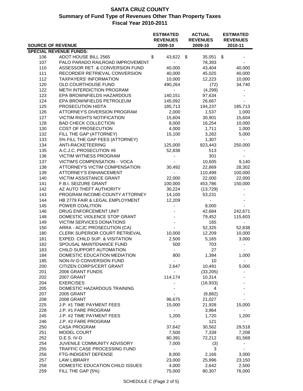|            |                                   | <b>ESTIMATED</b><br><b>REVENUES</b> | <b>ACTUAL</b><br><b>REVENUES</b> | <b>ESTIMATED</b><br><b>REVENUES</b> |
|------------|-----------------------------------|-------------------------------------|----------------------------------|-------------------------------------|
|            | <b>SOURCE OF REVENUE</b>          | 2009-10                             | 2009-10                          | 2010-11                             |
|            | <b>SPECIAL REVENUE FUNDS:</b>     |                                     |                                  |                                     |
| 106        | ADOT HOUSE BILL 2565              | \$<br>43,622                        | \$<br>35,051                     | \$                                  |
| 107        | PALO PARADO RAILROAD IMPROVEMENT  | $\blacksquare$                      | 78,393                           |                                     |
| 110        | ASSESSOR RET. & CONVERSION FUND   | 40,000                              | 43,404                           | 40,000                              |
| 111        | RECORDER RETRIEVAL CONVERSION     | 40,000                              | 45,025                           | 40,000                              |
| 112        | <b>TAXPAYERS' INFORMATION</b>     | 10,000                              | 12,223                           | 10,000                              |
| 120        | OLD COURTHOUSE FUND               | 490,264                             | (72)                             | 34,740                              |
| 122        | METH INTERDICTION PROGRAM         | $\blacksquare$                      | (4, 299)                         |                                     |
| 123        | EPA BROWNFIELDS HAZARDOUS         | 140,151                             | 97,634                           |                                     |
| 124        | EPA BROWNFIELDS PETROLEUM         | 145,092                             | 26,667                           |                                     |
| 125        | PROSECUTION HIDTA                 | 185,713                             | 194,237                          | 185,713                             |
| 126        | ATTORNEY'S DIVERSION PROGRAM      | 2,000                               | 1,537                            | 1,000                               |
| 127        | <b>VICTIM RIGHTS NOTIFICATION</b> | 15,604                              | 30,901                           | 15,604                              |
| 128        | <b>BAD CHECK COLLECTION</b>       | 8,000                               | 16,254                           | 10,000                              |
| 130        | COST OF PROSECUTION               | 4,000                               | 1,711                            | 1,000                               |
| 132        | FILL THE GAP (ATTORNEY)           | 15,100                              | 3,282                            | 5,000                               |
| 133        | 5% FILL THE GAP FEES (ATTORNEY)   | ÷.                                  | 1,307                            |                                     |
| 134        | ANTI-RACKETEERING                 | 125,000                             | 823,443                          | 250,000                             |
| 135        | A.C.J.C. PROSECUTION #6           | 52,838                              | 513                              |                                     |
| 136        | <b>VICTIM WITNESS PROGRAM</b>     |                                     | 301                              |                                     |
| 137        | VICTIM'S COMPENSATION - VOCA      |                                     | 10,605                           | 9,140                               |
| 138        | ATTORNEY'S VICTIM COMPENSATION    | 30,492                              | 22,869                           | 28,302                              |
| 139        | <b>ATTORNEY'S ENHANCEMENT</b>     | $\blacksquare$                      | 110,499                          | 100,000                             |
| 140        | VICTIM ASSISTANCE GRANT           | 22,000                              | 22,000                           | 22,000                              |
| 141        | F.B.I. SEIZURE GRANT              | 100,000                             | 453,786                          | 150,000                             |
| 142        | AZ AUTO THEFT AUTHORITY           | 30,224                              | (13, 729)                        |                                     |
| 143        | PROGRAM INCOME-COUNTY ATTORNEY    | 14,100                              | 53,231                           |                                     |
| 144        | HB 2779 FAIR & LEGAL EMPLOYMENT   | 12,209                              | $\sim$                           |                                     |
| 145        | POWER COALITION                   |                                     | 8,000                            |                                     |
| 146        | DRUG ENFORCEMENT UNIT             |                                     | 42,684                           | 242,671                             |
| 148        | DOMESTIC VIOLENCE STOP GRANT      |                                     | 79,452                           | 115,603                             |
| 149        | VICTIM SERVICES DONATIONS         |                                     | 165                              |                                     |
| 150        | ARRA - ACJC PROSECUTION (CA)      |                                     | 52,325                           | 52,838                              |
| 180        | CLERK SUPERIOR COURT RETRIEVAL    | 10,000                              | 12,209                           | 10,000                              |
| 181        | EXPED. CHILD SUP. & VISITATION    | 2,500                               | 5,165                            | 3,000                               |
| 182        | SPOUSAL MAINTENANCE FUND          | 500                                 | 703                              |                                     |
| 183        | CHILD SUPPORT AUTOMATION          | $\overline{\phantom{a}}$            | 27                               |                                     |
|            | DOMESTIC EDUCATION MEDIATION      |                                     | 1,384                            | 1,000                               |
| 184<br>185 | NON-IV-D CONVERSION FUND          | 800<br>$\overline{\phantom{a}}$     | 10                               |                                     |
|            |                                   |                                     |                                  |                                     |
| 200        | CITIZEN CORPS/CERT GRANT          | 2,647                               | 10,491                           | 5,000                               |
| 201        | 2006 GRANT FUNDS                  |                                     | (33, 205)                        |                                     |
| 202        | 2007 GRANT                        | 114,174                             | 10,314                           |                                     |
| 204        | <b>EXERCISES</b>                  |                                     | (16, 933)                        |                                     |
| 205        | DOMESTIC HAZARDOUS TRAINING       |                                     | 4                                |                                     |
| 207        | <b>2005 GRANT</b>                 |                                     | (9,882)                          |                                     |
| 208        | 2008 GRANT                        | 96,675                              | 21,027                           |                                     |
| 225        | J.P. #1 TIME PAYMENT FEES         | 15,000                              | 21,928                           | 15,000                              |
| 228        | J.P. #1 FARE PROGRAM              |                                     | 3,964                            |                                     |
| 245        | J.P. #2 TIME PAYMENT FEES         | 1,200                               | 1,720                            | 1,200                               |
| 246        | J.P. #2 FARE PROGRAM              | $\overline{\phantom{a}}$            | 121                              |                                     |
| 250        | <b>CASA PROGRAM</b>               | 37,642                              | 30,562                           | 29,518                              |
| 251        | <b>MODEL COURT</b>                | 7,500                               | 7,339                            | 7,208                               |
| 252        | D.E.S. IV-D                       | 80,391                              | 72,212                           | 81,569                              |
| 254        | JUVENILE COMMUNITY ADVISORY       | 7,000                               | (3)                              |                                     |
| 255        | TRAFFIC CASE PROCESSING FUND      | $\overline{\phantom{a}}$            | 3                                |                                     |
| 256        | FTG-INDIGENT DEFENSE              | 8,000                               | 2,166                            | 3,000                               |
| 257        | <b>LAW LIBRARY</b>                | 23,000                              | 25,996                           | 23,150                              |
| 258        | DOMESTIC EDUCATION CHILD ISSUES   | 4,000                               | 2,642                            | 2,500                               |
| 259        | FILL THE GAP (5%)                 | 75,000                              | 80,307                           | 76,000                              |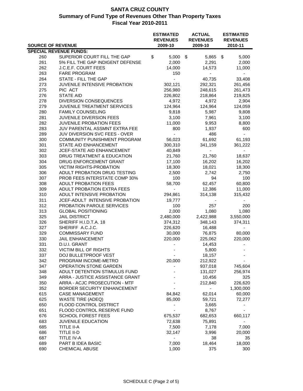|            |                                             | <b>ESTIMATED</b><br><b>REVENUES</b> | <b>ACTUAL</b><br><b>REVENUES</b> | <b>ESTIMATED</b><br><b>REVENUES</b> |
|------------|---------------------------------------------|-------------------------------------|----------------------------------|-------------------------------------|
|            | <b>SOURCE OF REVENUE</b>                    | 2009-10                             | 2009-10                          | 2010-11                             |
|            | <b>SPECIAL REVENUE FUNDS:</b>               |                                     |                                  |                                     |
| 260        | SUPERIOR COURT FILL THE GAP                 | \$<br>5,000                         | \$<br>5,865                      | 5,000<br>\$                         |
| 261<br>262 | 5% FILL THE GAP INDIGENT DEFENSE            | 2,000                               | 2,291                            | 2,000                               |
|            | J.C.E.F. COURT FEES                         | 14,000                              | 14,573                           | 11,000                              |
| 263<br>264 | <b>FARE PROGRAM</b><br>STATE - FILL THE GAP | 150<br>$\blacksquare$               | $\blacksquare$<br>40,735         | 33,408                              |
| 273        | JUVENILE INTENSIVE PROBATION                | 302,121                             | 292,321                          | 261,456                             |
| 275        | PIC ACT                                     | 256,980                             | 248,615                          | 261,473                             |
| 276        | <b>STATE AID</b>                            | 226,802                             |                                  |                                     |
| 278        | DIVERSION CONSEQUENCES                      | 4,972                               | 218,864<br>4,972                 | 219,825<br>2,904                    |
| 279        | JUVENILE TREATMENT SERVICES                 | 124,964                             | 124,964                          | 124,059                             |
| 280        | <b>FAMILY COUNSELING</b>                    | 9,818                               | 5,987                            | 9,808                               |
| 281        | JUVENILE DIVERSION FEES                     | 3,100                               | 7,961                            | 3,100                               |
| 282        | <b>JUVENILE PROBATION FEES</b>              | 11,000                              | 9,953                            | 8,800                               |
| 283        | JUV PARENTAL ASSMNT EXTRA FEE               | 800                                 | 1,937                            | 600                                 |
| 289        | JUV DIVERSION SVC FEES - OVER               | $\blacksquare$                      | 486                              | $\overline{\phantom{a}}$            |
| 300        | COMMUNITY PUNISHMENT PROGRAM                | 56,023                              | 61,692                           | 61,193                              |
| 301        | STATE AID ENHANCEMENT                       | 300,310                             | 341,159                          | 361,222                             |
| 302        | JCEF-STATE AID ENHANCEMENT                  | 40,849                              | $\overline{\phantom{a}}$         | $\overline{\phantom{0}}$            |
| 303        | DRUG TREATMENT & EDUCATION                  | 21,760                              | 21,760                           | 18,637                              |
| 304        | DRUG ENFORCEMENT GRANT                      | 17,100                              | 16,202                           | 16,202                              |
| 305        | <b>VICTIM RIGHTS-PROBATION</b>              | 18,300                              | 18,021                           | 18,300                              |
| 306        | ADULT PROBATION DRUG TESTING                | 2,500                               | 2,742                            | 2,750                               |
| 307        | PROB FEES INTERSTATE COMP 30%               | 100                                 | 94                               | 100                                 |
| 308        | <b>ADULT PROBATION FEES</b>                 | 58,700                              | 62,457                           | 60,800                              |
| 309        | ADULT PROBATION EXTRA FEES                  |                                     | 12,386                           | 11,000                              |
| 310        | ADULT INTENSIVE PROBATION                   | 294,861                             | 314,138                          | 315,432                             |
| 311        | JCEF-ADULT INTENSIVE PROBATION              | 19,777                              |                                  |                                     |
| 312        | PROBATION PAROLE SERVICES                   | 100                                 | 257                              | 200                                 |
| 313        | <b>GLOBAL POSITIONING</b>                   | 2,000                               | 1,080                            | 1,080                               |
| 325        | <b>JAIL DISTRICT</b>                        | 2,480,000                           | 2,422,988                        | 3,550,000                           |
| 326        | SHERIFF H.I.D.T.A. 18                       | 374,312                             | 348,143                          | 374,311                             |
| 327        | SHERIFF A.C.J.C.                            | 226,620                             | 16,488                           |                                     |
| 329        | <b>COMMISSARY FUND</b>                      | 30,000                              | 76,875                           | 80,000                              |
| 330        | <b>JAIL ENHANCEMENT</b>                     | 220,000                             | 225,062                          | 220,000                             |
| 331        | D.U.I. GRANT                                |                                     | 14,453                           |                                     |
| 332        | <b>VICTIM BILL OF RIGHTS</b>                |                                     | 5,800                            |                                     |
| 337        | DOJ BULLETPROOF VEST                        |                                     | 18,157                           |                                     |
| 342        | PROGRAM INCOME-METRO                        | 20,000                              | 212,922                          |                                     |
| 347        | OPERATION STONE GARDEN                      |                                     | 937,018                          | 745,604                             |
| 348        | ADULT DETENTION STIMULUS FUND               |                                     | 131,027                          | 256,974                             |
| 349        | ARRA - JUSTICE ASSISTANCE GRANT             |                                     | 10,456                           | 325                                 |
| 350        | ARRA - ACJC PROSECUTION - MTF               |                                     | 212,840                          | 226,620                             |
| 352        | BORDER SECURITY ENHANCEMENT                 |                                     |                                  | 1,300,000                           |
| 615        | <b>CASE MANAGEMENT</b>                      | 84,842                              | 62,014                           | 60,000                              |
| 625        | <b>WASTE TIRE (ADEQ)</b>                    | 85,000                              | 59,721                           | 72,277                              |
| 650        | FLOOD CONTROL DISTRICT                      |                                     | 3,665                            |                                     |
| 651        | FLOOD CONTROL RESERVE FUND                  |                                     | 8,767                            |                                     |
| 676        | <b>SCHOOL FOREST FEES</b>                   | 675,537                             | 682,653                          | 660,117                             |
| 683        | JUVENILE EDUCATION                          | 72,638                              | 75,891                           |                                     |
| 685        | TITLE II-A                                  | 7,500                               | 7,178                            | 7,000                               |
| 686        | TITLE II-D                                  | 32,147                              | 3,996                            | 20,000                              |
| 687        | TITLE IV-A                                  |                                     | 38                               | 35                                  |
| 689        | PART B IDEA BASIC                           | 7,000                               | 18,464                           | 18,000                              |
| 690        | <b>CHEMICAL ABUSE</b>                       | 1,000                               | 375                              | 300                                 |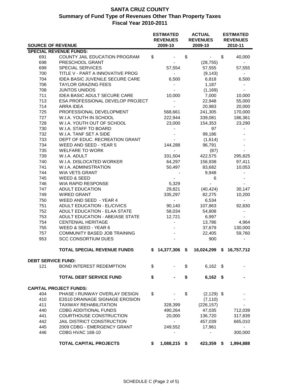|     | <b>SOURCE OF REVENUE</b>            | <b>ESTIMATED</b><br><b>REVENUES</b><br>2009-10 | <b>ACTUAL</b><br><b>REVENUES</b><br>2009-10 | <b>ESTIMATED</b><br><b>REVENUES</b><br>2010-11 |
|-----|-------------------------------------|------------------------------------------------|---------------------------------------------|------------------------------------------------|
|     | <b>SPECIAL REVENUE FUNDS:</b>       |                                                |                                             |                                                |
|     | COUNTY JAIL EDUCATION PROGRAM       |                                                | \$<br>$\blacksquare$                        |                                                |
| 691 |                                     | \$                                             |                                             | \$<br>40,000                                   |
| 698 | PRESCHOOL GRANT                     | $\sim$                                         | (28, 755)                                   | $\sim$                                         |
| 699 | <b>SPECIAL SERVICES</b>             | 57,554                                         | 57,555                                      | 57,555                                         |
| 700 | TITLE V - PART A INNOVATIVE PROG    | $\sim$                                         | (9, 143)                                    |                                                |
| 704 | IDEA BASIC JUVENILE SECURE CARE     | 6,500                                          | 6,818                                       | 6,500                                          |
| 706 | <b>TAYLOR GRAZING FEES</b>          |                                                | 1,187                                       |                                                |
| 708 | <b>JUNTOS UNIDOS</b>                |                                                | (1, 169)                                    |                                                |
| 711 | <b>IDEA BASIC ADULT SECURE CARE</b> | 10,000                                         | 7,000                                       | 10,000                                         |
| 713 | ESA PROFESSIONAL DEVELOP PROJECT    | $\overline{\phantom{0}}$                       | 22,948                                      | 55,000                                         |
| 714 | ARRA IDEA                           |                                                | 20,983                                      | 20,000                                         |
| 725 | PROFESSIONAL DEVELOPMENT            | 568,661                                        | 241,305                                     | 170,000                                        |
| 727 | W.I.A. YOUTH IN SCHOOL              | 222,944                                        | 339,081                                     | 186,361                                        |
| 728 | W.I.A. YOUTH OUT OF SCHOOL          | 23,000                                         | 154,353                                     | 23,290                                         |
| 730 | W.I.A. STAFF TO BOARD               |                                                | 97                                          |                                                |
| 732 | W.I.A. TANF SET A SIDE              |                                                | 99,186                                      |                                                |
| 733 | DEPT OF EDUC. RECREATION GRANT      |                                                | (1,614)                                     |                                                |
| 734 | WEED AND SEED - YEAR 5              | 144,288                                        | 96,791                                      |                                                |
| 735 | <b>WELFARE TO WORK</b>              | $\sim$                                         | (87)                                        |                                                |
| 739 | W.I.A. ADULT                        | 331,504                                        | 422,575                                     | 295,825                                        |
| 740 | W.I.A. DISLOCATED WORKER            | 64,297                                         | 156,938                                     | 97,411                                         |
| 741 | W.I.A. ADMINISTRATION               | 50,497                                         | 83,682                                      | 10,053                                         |
| 744 | WIA VETS GRANT                      |                                                | 9,948                                       |                                                |
| 745 | WEED & SEED                         |                                                | 6                                           |                                                |
| 746 | <b>WIA RAPID RESPONSE</b>           | 5,329                                          |                                             |                                                |
| 747 | <b>ADULT EDUCATION</b>              | 29,821                                         | (40, 424)                                   | 30,147                                         |
| 749 | <b>WIRED GRANT</b>                  | 335,297                                        | 82,275                                      | 10,200                                         |
| 750 | WEED AND SEED - YEAR 4              | $\sim$                                         | 6,534                                       | $\sim$                                         |
| 751 | ADULT EDUCATION - EL/CIVICS         | 90,140                                         | 107,863                                     | 92,830                                         |
| 752 | ADULT EDUCATION - ELAA STATE        | 58,034                                         | 54,808                                      |                                                |
| 753 | ADULT EDUCATION - ABE/ASE STATE     | 12,721                                         | 6,997                                       |                                                |
| 754 | <b>CENTENIAL HERITAGE</b>           | $\overline{\phantom{a}}$                       | 13,786                                      | 4,964                                          |
| 755 | WEED & SEED - YEAR 6                |                                                | 37,679                                      | 130,000                                        |
| 757 | COMMUNITY BASED JOB TRAINING        |                                                | 22,405                                      | 59,760                                         |
| 953 | <b>SCC CONSORTIUM DUES</b>          |                                                | 900                                         |                                                |
|     |                                     |                                                |                                             |                                                |
|     | <b>TOTAL SPECIAL REVENUE FUNDS</b>  | $$14,377,306$ \$                               |                                             | 16,024,299 \$ 16,757,712                       |
|     | <b>DEBT SERVICE FUND:</b>           |                                                |                                             |                                                |
| 121 | <b>BOND INTEREST REDEMPTION</b>     | \$                                             | \$<br>$6,162$ \$                            |                                                |
|     | <b>TOTAL DEBT SERVICE FUND</b>      | \$                                             | \$<br>$6,162$ \$                            |                                                |
|     | <b>CAPITAL PROJECT FUNDS:</b>       |                                                |                                             |                                                |
|     |                                     |                                                |                                             |                                                |
| 404 | PHASE I RUNWAY OVERLAY DESIGN       | \$                                             | \$<br>$(2, 129)$ \$                         |                                                |
| 410 | E3S10 DRAINAGE SIGNAGE EROSION      |                                                | (7, 110)                                    |                                                |
| 411 | <b>TAXIWAY REHABILITATION</b>       | 328,399                                        | (226, 157)                                  |                                                |
| 440 | <b>CDBG ADDITIONAL FUNDS</b>        | 490,264                                        | 47,035                                      | 712,039                                        |
| 441 | COURTHOUSE CONSTRUCTION             | 20,000                                         | 136,720                                     | 317,839                                        |
| 442 | JAIL DISTRICT CONSTRUCTION          | $\blacksquare$                                 | 457,039                                     | 665,010                                        |
| 445 | 2009 CDBG - EMERGENCY GRANT         | 249,552                                        | 17,961                                      |                                                |
| 446 | <b>CDBG HVAC 168-10</b>             |                                                |                                             | 300,000                                        |
|     | <b>TOTAL CAPITAL PROJECTS</b>       | \$<br>1,088,215 \$                             | 423,359 \$                                  | 1,994,888                                      |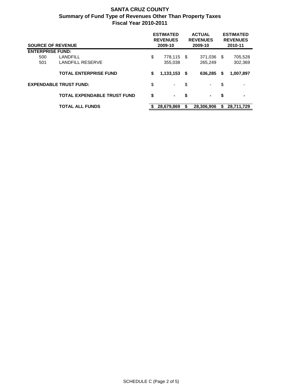| <b>SOURCE OF REVENUE</b> |                                    |    | <b>ESTIMATED</b><br><b>REVENUES</b><br>2009-10 | <b>ACTUAL</b><br><b>REVENUES</b><br>2009-10 |            |      | <b>ESTIMATED</b><br><b>REVENUES</b><br>2010-11 |  |  |
|--------------------------|------------------------------------|----|------------------------------------------------|---------------------------------------------|------------|------|------------------------------------------------|--|--|
| <b>ENTERPRISE FUND:</b>  |                                    |    |                                                |                                             |            |      |                                                |  |  |
| 500                      | LANDFILL                           | \$ | 778,115                                        | - \$                                        | 371,036    | - \$ | 705,528                                        |  |  |
| 501                      | <b>LANDFILL RESERVE</b>            |    | 355,038                                        |                                             | 265,249    |      | 302,369                                        |  |  |
|                          | <b>TOTAL ENTERPRISE FUND</b>       | \$ | $1,133,153$ \$                                 |                                             | 636.285    | S.   | 1,007,897                                      |  |  |
|                          | <b>EXPENDABLE TRUST FUND:</b>      | \$ | ۰.                                             | \$                                          | ۰.         | \$   |                                                |  |  |
|                          | <b>TOTAL EXPENDABLE TRUST FUND</b> | \$ | $\sim$                                         | \$                                          | $\sim$     | \$   |                                                |  |  |
|                          | <b>TOTAL ALL FUNDS</b>             | S  | 28,679,869                                     | S                                           | 28.306.906 | S    | 28,711,729                                     |  |  |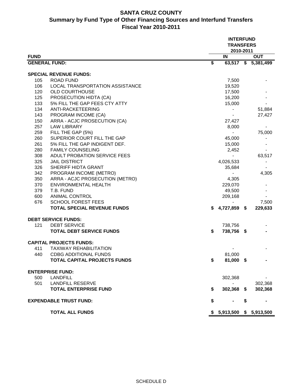# **SANTA CRUZ COUNTY Summary by Fund Type of Other Financing Sources and Interfund Transfers Fiscal Year 2010-2011**

|                      |                                    | <b>INTERFUND</b><br><b>TRANSFERS</b><br>2010-2011 |                          |    |                     |  |
|----------------------|------------------------------------|---------------------------------------------------|--------------------------|----|---------------------|--|
| <b>FUND</b>          |                                    |                                                   | IN                       |    | <b>OUT</b>          |  |
| <b>GENERAL FUND:</b> |                                    | $\overline{\boldsymbol{\mathsf{s}}}$              |                          |    | 63,517 \$ 5,381,499 |  |
|                      | <b>SPECIAL REVENUE FUNDS:</b>      |                                                   |                          |    |                     |  |
| 105                  | ROAD FUND                          |                                                   | 7,500                    |    |                     |  |
| 106                  | LOCAL TRANSPORTATION ASSISTANCE    |                                                   | 19,520                   |    |                     |  |
| 120                  | <b>OLD COURTHOUSE</b>              |                                                   | 17,500                   |    |                     |  |
|                      |                                    |                                                   |                          |    |                     |  |
| 125                  | PROSECUTION HIDTA (CA)             |                                                   | 16,200                   |    |                     |  |
| 133                  | 5% FILL THE GAP FEES CTY ATTY      |                                                   | 15,000                   |    |                     |  |
| 134                  | ANTI-RACKETEERING                  |                                                   |                          |    | 51,884              |  |
| 143                  | PROGRAM INCOME (CA)                |                                                   |                          |    | 27,427              |  |
| 150                  | ARRA - ACJC PROSECUTION (CA)       |                                                   | 27,427                   |    |                     |  |
| 257                  | <b>LAW LIBRARY</b>                 |                                                   | 8,000                    |    |                     |  |
| 259                  | FILL THE GAP (5%)                  |                                                   | $\overline{\phantom{a}}$ |    | 75,000              |  |
| 260                  | SUPERIOR COURT FILL THE GAP        |                                                   | 45,000                   |    |                     |  |
| 261                  | 5% FILL THE GAP INDIGENT DEF.      |                                                   | 15,000                   |    |                     |  |
| 280                  | <b>FAMILY COUNSELING</b>           |                                                   | 2,452                    |    |                     |  |
| 308                  | ADULT PROBATION SERVICE FEES       |                                                   | $\frac{1}{2}$            |    | 63,517              |  |
| 325                  | <b>JAIL DISTRICT</b>               |                                                   | 4,026,533                |    |                     |  |
| 326                  | SHERIFF HIDTA GRANT                |                                                   | 35,684                   |    |                     |  |
| 342                  | PROGRAM INCOME (METRO)             |                                                   |                          |    | 4,305               |  |
| 350                  | ARRA - ACJC PROSECUTION (METRO)    |                                                   | 4,305                    |    |                     |  |
| 370                  | <b>ENVIRONMENTAL HEALTH</b>        |                                                   | 229,070                  |    |                     |  |
| 379                  | T.B. FUND                          |                                                   | 49,500                   |    |                     |  |
| 600                  | <b>ANIMAL CONTROL</b>              |                                                   | 209,168                  |    |                     |  |
| 676                  | <b>SCHOOL FOREST FEES</b>          |                                                   |                          |    | 7,500               |  |
|                      | <b>TOTAL SPECIAL REVENUE FUNDS</b> | \$                                                | 4,727,859 \$             |    | 229,633             |  |
|                      | <b>DEBT SERVICE FUNDS:</b>         |                                                   |                          |    |                     |  |
| 121                  | <b>DEBT SERVICE</b>                |                                                   | 738,756                  |    |                     |  |
|                      | <b>TOTAL DEBT SERVICE FUNDS</b>    | \$                                                | 738,756 \$               |    |                     |  |
|                      |                                    |                                                   |                          |    |                     |  |
|                      | <b>CAPITAL PROJECTS FUNDS:</b>     |                                                   |                          |    |                     |  |
| 411                  | <b>TAXIWAY REHABILITATION</b>      |                                                   |                          |    |                     |  |
| 440                  | <b>CDBG ADDITIONAL FUNDS</b>       |                                                   | 81,000                   |    |                     |  |
|                      | TOTAL CAPITAL PROJECTS FUNDS       | \$                                                | 81,000 \$                |    |                     |  |
|                      | <b>ENTERPRISE FUND:</b>            |                                                   |                          |    |                     |  |
| 500                  | <b>LANDFILL</b>                    |                                                   | 302,368                  |    |                     |  |
| 501                  | <b>LANDFILL RESERVE</b>            |                                                   |                          |    | 302,368             |  |
|                      | <b>TOTAL ENTERPRISE FUND</b>       | \$                                                | 302,368 \$               |    | 302,368             |  |
|                      |                                    |                                                   |                          |    |                     |  |
|                      | <b>EXPENDABLE TRUST FUND:</b>      | \$                                                |                          | \$ |                     |  |
|                      | <b>TOTAL ALL FUNDS</b>             |                                                   | 5,913,500                |    | \$5,913,500         |  |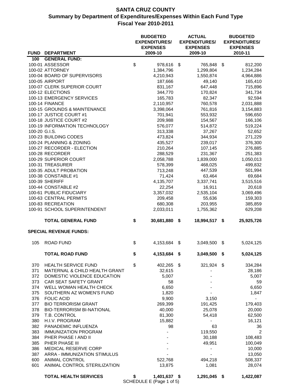|               | FUND DEPARTMENT                                | <b>BUDGETED</b><br><b>EXPENDITURES/</b><br><b>EXPENSES</b><br>2009-10 |      | <b>ACTUAL</b><br><b>EXPENDITURES/</b><br><b>EXPENSES</b><br>2009-10 | <b>BUDGETED</b><br><b>EXPENDITURES/</b><br><b>EXPENSES</b><br>2010-11 |
|---------------|------------------------------------------------|-----------------------------------------------------------------------|------|---------------------------------------------------------------------|-----------------------------------------------------------------------|
| 100           | <b>GENERAL FUND:</b>                           |                                                                       |      |                                                                     |                                                                       |
|               | 100-01 ASSESSOR                                | \$<br>978,616                                                         | \$   | 765,848                                                             | \$<br>812,200                                                         |
|               | 100-02 ATTORNEY                                | 1,384,796                                                             |      | 1,299,804                                                           | 1,234,284                                                             |
|               | 100-04 BOARD OF SUPERVISORS                    | 4,210,943                                                             |      | 1,550,874                                                           | 4,964,886                                                             |
|               | 100-05 AIRPORT                                 | 187,666                                                               |      | 49,140                                                              | 165,410                                                               |
|               | 100-07 CLERK SUPERIOR COURT                    | 831,167                                                               |      | 647,448                                                             | 715,896                                                               |
|               | 100-12 ELECTIONS                               | 344,770                                                               |      | 170,824                                                             | 341,734                                                               |
|               | 100-13 EMERGENCY SERVICES                      | 165,783                                                               |      | 82,347                                                              | 92,594                                                                |
|               | <b>100-14 FINANCE</b>                          | 2,110,957                                                             |      | 760,578                                                             | 2,031,888                                                             |
|               | 100-15 GROUNDS & MAINTENANCE                   | 3,398,064                                                             |      | 761,816                                                             | 3,154,883                                                             |
|               | 100-17 JUSTICE COURT #1                        | 701,941                                                               |      | 553,932                                                             | 596,650                                                               |
|               | 100-18 JUSTICE COURT #2                        | 209,988                                                               |      | 154,567                                                             | 166,106                                                               |
|               | 100-19 INFORMATION TECHNOLOGY                  | 576,077                                                               |      | 514,872                                                             | 519,224                                                               |
| 100-20 G.I.S. |                                                | 313,338                                                               |      | 37,267                                                              | 52,652                                                                |
|               | 100-23 BUILDING CODES                          | 473,824                                                               |      | 344,934                                                             | 271,229                                                               |
|               | 100-24 PLANNING & ZONING                       | 435,527                                                               |      | 239,017                                                             | 376,300                                                               |
|               | 100-27 RECORDER - ELECTION                     | 210,264                                                               |      | 107,145                                                             | 276,885                                                               |
|               | 100-28 RECORDER                                | 288,529                                                               |      | 231,367                                                             | 251,383                                                               |
|               | 100-29 SUPERIOR COURT                          | 2,058,788                                                             |      | 1,839,000                                                           | 1,050,013                                                             |
|               | 100-31 TREASURER                               | 578,399                                                               |      | 468,025                                                             | 499,832                                                               |
|               | 100-35 ADULT PROBATION                         | 713,248                                                               |      | 447,539                                                             | 501,994                                                               |
|               | 100-38 CONSTABLE #1                            | 71,424                                                                |      | 63,464                                                              | 69,684                                                                |
|               | 100-39 SHERIFF                                 | 4,135,707                                                             |      | 3,337,741                                                           | 3,515,516                                                             |
|               | 100-44 CONSTABLE #2                            | 22,254                                                                |      | 16,911                                                              | 20,618                                                                |
|               | 100-61 PUBLIC FIDUCIARY                        | 3,357,032                                                             |      | 2,535,104                                                           | 3,069,496                                                             |
|               | 100-63 CENTRAL PERMITS<br>100-83 RECREATION    | 209,458                                                               |      | 55,636                                                              | 159,303                                                               |
|               | 100-91 SCHOOL SUPERINTENDENT                   | 680,308<br>2,033,011                                                  |      | 203,955<br>1,755,362                                                | 385,859<br>629,208                                                    |
|               |                                                |                                                                       |      |                                                                     |                                                                       |
|               | <b>TOTAL GENERAL FUND</b>                      | \$<br>30,681,880                                                      | \$   | 18,994,517                                                          | \$<br>25,925,726                                                      |
|               | <b>SPECIAL REVENUE FUNDS:</b>                  |                                                                       |      |                                                                     |                                                                       |
| 105           | <b>ROAD FUND</b>                               | \$<br>4,153,684                                                       | \$   | 3,049,500                                                           | \$<br>5,024,125                                                       |
|               | TOTAL ROAD FUND                                | \$<br>4,153,684                                                       | - \$ | 3,049,500                                                           | \$<br>5,024,125                                                       |
| 370           | <b>HEALTH SERVICE FUND</b>                     | \$<br>402,265 \$                                                      |      | 321,924                                                             | \$<br>334,284                                                         |
| 371           | MATERNAL & CHILD HEALTH GRANT                  | 32,615                                                                |      |                                                                     | 28,186                                                                |
| 372           | DOMESTIC VIOLENCE EDUCATION                    | 5,007                                                                 |      |                                                                     | 5,007                                                                 |
| 373           | CAR SEAT SAFETY GRANT                          | 58                                                                    |      |                                                                     | 59                                                                    |
| 374           | WELL WOMAN HEALTH CHECK                        | 6,650                                                                 |      |                                                                     | 6,650                                                                 |
| 375           | SOUTHERN AZ WOMEN'S FUND                       | 1,820                                                                 |      |                                                                     | 1,847                                                                 |
| 376           | <b>FOLIC ACID</b>                              | 9,900                                                                 |      | 3,150                                                               |                                                                       |
| 377           | <b>BIO TERRORISM GRANT</b>                     | 269,399                                                               |      | 191,425                                                             | 179,403                                                               |
| 378           | <b>BIO-TERRORISM BI-NATIONAL</b>               | 40,000                                                                |      | 25,078                                                              | 20,000                                                                |
| 379           | T.B. CONTROL                                   | 81,300                                                                |      | 54,418                                                              | 62,500                                                                |
| 380           | H.I.V. PROGRAM                                 | 15,882                                                                |      |                                                                     | 16,121                                                                |
| 382           | PANADEMIC INFLUENZA                            | 98                                                                    |      | 63                                                                  | 36                                                                    |
| 383           | <b>IMMUNIZATION PROGRAM</b>                    |                                                                       |      | 119,550                                                             | 2                                                                     |
| 384           | PHER PHASE I AND II                            |                                                                       |      | 30,188                                                              | 108,483                                                               |
| 385           | PHER PHASE III                                 |                                                                       |      | 49,951                                                              | 100,049                                                               |
| 386           | MEDICAL RESERVE CORP                           |                                                                       |      |                                                                     | 10,000                                                                |
| 387<br>600    | ARRA - IMMUNIZATION STIMULUS<br>ANIMAL CONTROL | 522,768                                                               |      | 494,218                                                             | 13,050<br>508,337                                                     |
| 601           | ANIMAL CONTROL STERILIZATION                   | 13,875                                                                |      | 1,081                                                               | 28,074                                                                |
|               | <b>TOTAL HEALTH SERVICES</b>                   | \$<br>1,401,637 \$<br>SCHEDULE E (Page 1 of 5)                        |      | 1,291,045                                                           | \$<br>1,422,087                                                       |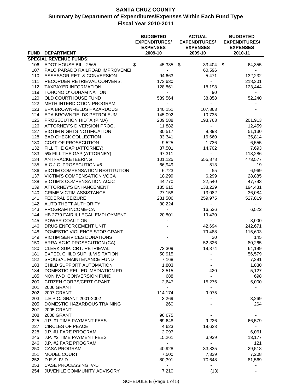|            | FUND DEPARTMENT                               | <b>BUDGETED</b><br><b>EXPENDITURES/</b><br><b>EXPENSES</b><br>2009-10 | <b>ACTUAL</b><br><b>EXPENDITURES/</b><br><b>EXPENSES</b><br>2009-10 | <b>BUDGETED</b><br><b>EXPENDITURES/</b><br><b>EXPENSES</b><br>2010-11 |
|------------|-----------------------------------------------|-----------------------------------------------------------------------|---------------------------------------------------------------------|-----------------------------------------------------------------------|
|            | <b>SPECIAL REVENUE FUNDS:</b>                 |                                                                       |                                                                     |                                                                       |
| 106        | ADOT HOUSE BILL 2565                          | \$<br>45,335 \$                                                       | 33,404                                                              | \$<br>64,355                                                          |
| 107        | PALO PARADO RAILROAD IMPROVEMEI               | $\blacksquare$                                                        | 60,596                                                              |                                                                       |
| 110        | ASSESSOR RET. & CONVERSION                    | 94,663                                                                | 5,471                                                               | 132,232                                                               |
| 111        | RECORDER RETRIEVAL CONVERS.                   | 173,630                                                               | $\blacksquare$                                                      | 218,301                                                               |
| 112        | <b>TAXPAYER INFORMATION</b>                   | 128,861                                                               | 18,198                                                              | 123,444                                                               |
| 119        | TOHONO O' ODHAM NATION                        | $\blacksquare$                                                        | 90                                                                  |                                                                       |
| 120        | OLD COURTHOUSE FUND                           | 539,564                                                               | 38,858                                                              | 52,240                                                                |
| 122        | METH INTERDICTION PROGRAM                     |                                                                       |                                                                     |                                                                       |
| 123        | EPA BROWNFIELDS HAZARDOUS                     | 140,151                                                               | 107,363                                                             |                                                                       |
| 124        | EPA BROWNFIELDS PETROLEUM                     | 145,092                                                               | 10,735                                                              |                                                                       |
| 125        | PROSECUTION HIDTA (PIMA)                      | 209,588                                                               | 193,763                                                             | 201,913                                                               |
| 126        | ATTORNEY'S DIVERSION PROG.                    | 11,882                                                                | $\blacksquare$                                                      | 12,459                                                                |
| 127        | VICTIM RIGHTS NOTIFICATION                    | 30,517                                                                | 8,893                                                               | 51,130                                                                |
| 128        | <b>BAD CHECK COLLECTION</b>                   | 33,341                                                                | 16,660                                                              | 35,814                                                                |
| 130        | COST OF PROSECUTION                           | 9,525                                                                 | 1,736                                                               | 6,555                                                                 |
| 132        | FILL THE GAP (ATTORNEY)                       | 37,501                                                                | 14,702                                                              | 7,693                                                                 |
| 133        | 5% FILL THE GAP (ATTORNEY)                    | 97,311                                                                |                                                                     | 118,286                                                               |
| 134        | ANTI-RACKETEERING                             | 101,125                                                               | 555,878                                                             | 473,577                                                               |
| 135        | A.C.J.C. PROSECUTION #6                       | 66,949                                                                | 513                                                                 | 19                                                                    |
| 136        | VICTIM COMPENSATION RESTITUTION               | 6,723                                                                 | 55                                                                  | 6,969                                                                 |
| 137        | VICTIM'S COMPENSATION VOCA                    | 18,299                                                                | 6,299                                                               | 28,885                                                                |
| 138        | VICTIM'S COMPENSATION ACJC                    | 44,770                                                                | 22,540                                                              | 47,793                                                                |
| 139        | <b>ATTORNEY'S ENHANCEMENT</b>                 | 135,615                                                               | 138,229                                                             | 194,431                                                               |
| 140        | <b>CRIME VICTIM ASSISTANCE</b>                | 27,158                                                                | 13,082                                                              | 36,084                                                                |
| 141        | FEDERAL SEIZURE                               | 281,506                                                               | 259,975                                                             | 527,819                                                               |
| 142        | AUTO THEFT AUTHORITY                          | 30,224                                                                | $\blacksquare$                                                      |                                                                       |
| 143        | PROGRAM INCOME-CA                             | $\sim$                                                                | 16,536                                                              | 6,522                                                                 |
| 144        | HB 2779 FAIR & LEGAL EMPLOYMENT               | 20,801                                                                | 19,430                                                              | $\sim$                                                                |
| 145        | POWER COALITION                               |                                                                       | $\sim$                                                              | 8,000                                                                 |
| 146        | DRUG ENFORCEMENT UNIT                         |                                                                       | 42,694                                                              | 242,671                                                               |
| 148        | DOMESTIC VIOLENCE STOP GRANT                  |                                                                       | 79,488                                                              | 115,603                                                               |
| 149        | VICTIM SERVICES DONATIONS                     |                                                                       | 20                                                                  | 145                                                                   |
| 150        | ARRA-ACJC PROSECUTION (CA)                    |                                                                       | 52,326                                                              | 80,265                                                                |
| 180        | CLERK SUP. CRT. RETRIEVAL                     | 73,309                                                                | 19,374                                                              | 64,199                                                                |
| 181        | EXPED. CHILD SUP. & VISITATION                | 50,915                                                                |                                                                     | 56,579                                                                |
| 182        | SPOUSAL MAINTENANCE FUND                      | 7,168                                                                 |                                                                     | 7,391                                                                 |
| 183        | CHILD SUPPORT AUTOMATION                      | 1,803                                                                 |                                                                     | 1,830                                                                 |
| 184        | DOMESTIC REL. ED. MEDIATION FD                | 3,515                                                                 | 420                                                                 | 5,127                                                                 |
| 185        | NON IV-D CONVERSION FUND                      | 688                                                                   |                                                                     | 698                                                                   |
| 200        | CITIZEN CORPS/CERT GRANT<br><b>2006 GRANT</b> | 2,647                                                                 | 15,276                                                              | 5,000                                                                 |
| 201<br>202 | <b>2007 GRANT</b>                             |                                                                       |                                                                     |                                                                       |
| 203        | L.E.P.C. GRANT 2001-2002                      | 114,174<br>3,269                                                      | 9,975                                                               |                                                                       |
| 205        | DOMESTIC HAZARDOUS TRAINING                   | 260                                                                   |                                                                     | 3,269<br>264                                                          |
| 207        | <b>2005 GRANT</b>                             |                                                                       |                                                                     |                                                                       |
| 208        | 2008 GRANT                                    | 96,675                                                                |                                                                     |                                                                       |
| 225        | J.P. #1 TIME PAYMENT FEES                     | 69,648                                                                | 9,226                                                               | 66,579                                                                |
| 227        | <b>CIRCLES OF PEACE</b>                       | 4,623                                                                 | 19,623                                                              |                                                                       |
| 228        | J.P. #1 FARE PROGRAM                          | 2,097                                                                 |                                                                     | 6,061                                                                 |
| 245        | J.P. #2 TIME PAYMENT FEES                     | 15,261                                                                | 3,939                                                               | 13,177                                                                |
| 246        | J.P. #2 FARE PROGRAM                          |                                                                       |                                                                     | 121                                                                   |
| 250        | <b>CASA PROGRAM</b>                           | 40,928                                                                | 33,835                                                              | 29,518                                                                |
| 251        | MODEL COURT                                   | 7,500                                                                 | 7,339                                                               | 7,208                                                                 |
| 252        | D.E.S. IV-D                                   | 80,391                                                                | 70,648                                                              | 81,569                                                                |
| 253        | CASE PROCESSING IV-D                          |                                                                       |                                                                     |                                                                       |
| 254        | JUVENILE COMMUNITY ADVISORY                   | 7,210                                                                 | (13)                                                                |                                                                       |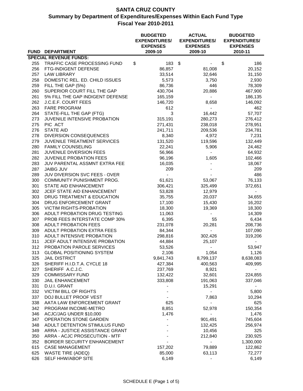|     | FUND DEPARTMENT                    | <b>BUDGETED</b><br><b>EXPENDITURES/</b><br><b>EXPENSES</b><br>2009-10 | <b>ACTUAL</b><br><b>EXPENDITURES/</b><br><b>EXPENSES</b><br>2009-10 | <b>BUDGETED</b><br><b>EXPENDITURES/</b><br><b>EXPENSES</b><br>2010-11 |
|-----|------------------------------------|-----------------------------------------------------------------------|---------------------------------------------------------------------|-----------------------------------------------------------------------|
|     | <b>SPECIAL REVENUE FUNDS:</b>      |                                                                       |                                                                     |                                                                       |
| 255 | TRAFFIC CASE PROCESSING FUND       | \$<br>183                                                             | $\sqrt[6]{3}$                                                       | \$<br>186                                                             |
| 256 | FTG-INDIGENT DEFENSE               | 86,857                                                                | 81,008                                                              | 20,152                                                                |
| 257 | <b>LAW LIBRARY</b>                 | 33,514                                                                | 32,646                                                              | 31,150                                                                |
| 258 | DOMESTIC REL. ED. CHILD ISSUES     | 5,573                                                                 | 3,750                                                               | 2,930                                                                 |
| 259 | FILL THE GAP (5%)                  | 86,736                                                                | 446                                                                 | 78,309                                                                |
| 260 | SUPERIOR COURT FILL THE GAP        | 430,704                                                               | 20,886                                                              | 467,900                                                               |
| 261 | 5% FILL THE GAP INDIGENT DEFENSE   | 165,159                                                               | $\sim$                                                              | 186,135                                                               |
| 262 | J.C.E.F. COURT FEES                | 146,720                                                               | 8,658                                                               | 146,092                                                               |
| 263 | <b>FARE PROGRAM</b>                | 612                                                                   |                                                                     | 462                                                                   |
| 264 | STATE-FILL THE GAP (FTG)           | 3                                                                     | 16,442                                                              | 57,707                                                                |
| 273 | JUVENILE INTENSIVE PROBATION       | 315,191                                                               | 280,273                                                             | 276,412                                                               |
| 275 | PIC ACT                            | 271,431                                                               | 238,018                                                             | 278,951                                                               |
| 276 | <b>STATE AID</b>                   | 241,711                                                               | 209,536                                                             | 234,781                                                               |
| 278 | DIVERSION CONSEQUENCES             | 8,340                                                                 | 4,972                                                               | 7,231                                                                 |
| 279 | <b>JUVENILE TREATMENT SERVICES</b> | 131,520                                                               | 119,596                                                             | 132,449                                                               |
| 280 | <b>FAMILY COUNSELING</b>           | 22,241                                                                | 5,906                                                               | 24,462                                                                |
|     |                                    |                                                                       |                                                                     | 64,932                                                                |
| 281 | <b>JUVENILE DIVERSION FEES</b>     | 56,966                                                                |                                                                     |                                                                       |
| 282 | JUVENILE PROBATION FEES            | 96,196                                                                | 1,605                                                               | 102,466                                                               |
| 283 | JUV PARENTAL ASSMNT EXTRA FEE      | 16,035                                                                |                                                                     | 18,067                                                                |
| 287 | <b>JAIBG JUV</b>                   | 209                                                                   |                                                                     | 209                                                                   |
| 289 | JUV DIVERSION SVC FEES - OVER      |                                                                       |                                                                     | 486                                                                   |
| 300 | COMMUNITY PUNISHMENT PROG.         | 61,621                                                                | 53,067                                                              | 76,133                                                                |
| 301 | STATE AID ENHANCEMENT              | 306,421                                                               | 325,499                                                             | 372,651                                                               |
| 302 | JCEF STATE AID ENHANCEMENT         | 53,828                                                                | 12,979                                                              |                                                                       |
| 303 | DRUG TREATMENT & EDUCATION         | 35,755                                                                | 20,037                                                              | 34,655                                                                |
| 304 | DRUG ENFORCEMENT GRANT             | 17,100                                                                | 15,430                                                              | 16,202                                                                |
| 305 | <b>VICTIM RIGHTS-PROBATION</b>     | 18,300                                                                | 19,369                                                              | 18,300                                                                |
| 306 | ADULT PROBATION DRUG TESTING       | 11,063                                                                |                                                                     | 14,309                                                                |
| 307 | PROB FEES INTERSTATE COMP 30%      | 6,395                                                                 | 55                                                                  | 6,434                                                                 |
| 308 | <b>ADULT PROBATION FEES</b>        | 231,078                                                               | 20,281                                                              | 208,736                                                               |
| 309 | ADULT PROBATION EXTRA FEES         | 84,344                                                                | $\sim$                                                              | 107,090                                                               |
| 310 | ADULT INTENSIVE PROBATION          | 298,816                                                               | 302,426                                                             | 319,206                                                               |
| 311 | JCEF ADULT INTENSIVE PROBATION     | 44,884                                                                | 25,107                                                              |                                                                       |
| 312 | PROBATION PAROLE SERVICES          | 53,526                                                                |                                                                     | 53,947                                                                |
| 313 | <b>GLOBAL POSITIONING SYSTEM</b>   | 2,106                                                                 | 1,054                                                               | 1,126                                                                 |
| 325 | <b>JAIL DISTRICT</b>               | 9,841,743                                                             | 8,799,137                                                           | 8,638,083                                                             |
| 326 | SHERIFF H.I.D.T.A. CYCLE 18        | 427,384                                                               | 400,563                                                             | 409,995                                                               |
| 327 | SHERIFF A.C.J.C.                   | 237,769                                                               | 8,921                                                               |                                                                       |
| 329 | <b>COMMISSARY FUND</b>             | 132,422                                                               | 32,601                                                              | 224,855                                                               |
| 330 | <b>JAIL ENHANCEMENT</b>            | 333,808                                                               | 191,063                                                             | 337,046                                                               |
| 331 | D.U.I. GRANT                       |                                                                       | 15,291                                                              |                                                                       |
| 332 | VICTIM BILL OF RIGHTS              |                                                                       |                                                                     | 5,800                                                                 |
| 337 | DOJ BULLET PROOF VEST              |                                                                       | 7,863                                                               | 10,294                                                                |
| 338 | AATA LAW ENFORCEMENT GRANT         | 625                                                                   |                                                                     | 625                                                                   |
| 342 | PROGRAM INCOME-METRO               | 8,851                                                                 | 52,978                                                              | 150,354                                                               |
| 346 | ACJC/JAG UNDER \$10,000            | 1,476                                                                 | $\overline{\phantom{a}}$                                            | 1,476                                                                 |
| 347 | OPERATION STONE GARDEN             |                                                                       | 901,491                                                             | 745,604                                                               |
| 348 | ADULT DETENTION STIMULUS FUND      |                                                                       | 132,425                                                             | 256,974                                                               |
| 349 | ARRA - JUSTICE ASSISTANCE GRANT    |                                                                       | 10,456                                                              | 325                                                                   |
| 350 | ARRA - ACJC PROSECUTION - MTF      |                                                                       | 212,840                                                             | 230,925                                                               |
| 352 | BORDER SECURITY ENHANCEMENT        |                                                                       |                                                                     | 1,300,000                                                             |
| 615 | <b>CASE MANAGEMENT</b>             | 157,202                                                               | 79,889                                                              | 122,862                                                               |
| 625 | <b>WASTE TIRE (ADEQ)</b>           | 85,000                                                                | 63,113                                                              | 72,277                                                                |
| 626 | SELF HHW/ABOP SITE                 | 6,149                                                                 |                                                                     | 6,149                                                                 |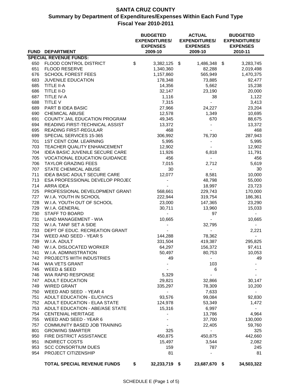|     | FUND DEPARTMENT                      | <b>BUDGETED</b><br><b>EXPENDITURES/</b><br><b>EXPENSES</b><br>2009-10 | <b>ACTUAL</b><br><b>EXPENDITURES/</b><br><b>EXPENSES</b><br>2009-10 | <b>BUDGETED</b><br><b>EXPENDITURES/</b><br><b>EXPENSES</b><br>2010-11 |
|-----|--------------------------------------|-----------------------------------------------------------------------|---------------------------------------------------------------------|-----------------------------------------------------------------------|
|     | <b>SPECIAL REVENUE FUNDS:</b>        |                                                                       |                                                                     |                                                                       |
| 650 | FLOOD CONTROL DISTRICT               | \$<br>3,382,125 \$                                                    | 1,486,348 \$                                                        | 3,283,745                                                             |
| 651 | <b>FLOOD RESERVE</b>                 | 1,340,360                                                             | 82,288                                                              | 2,019,498                                                             |
| 676 | <b>SCHOOL FOREST FEES</b>            | 1,157,860                                                             | 565,949                                                             | 1,470,375                                                             |
| 683 | <b>JUVENILE EDUCATION</b>            | 178,348                                                               | 73,885                                                              | 92,477                                                                |
| 685 | TITLE II-A                           | 14,356                                                                | 5,662                                                               | 15,238                                                                |
| 686 | TITLE II-D                           | 32,147                                                                | 23,190                                                              | 20,000                                                                |
| 687 | TITLE IV-A                           | 1,116                                                                 | 38                                                                  | 1,122                                                                 |
| 688 | TITLE V                              | 7,315                                                                 | $\blacksquare$                                                      | 3,413                                                                 |
| 689 | PART B IDEA BASIC                    | 27,966                                                                | 24,227                                                              | 23,204                                                                |
| 690 | CHEMICAL ABUSE                       | 12,578                                                                | 1,349                                                               | 10,695                                                                |
| 691 | COUNTY JAIL EDUCATION PROGRAM        | 49,345                                                                | 670                                                                 | 88,675                                                                |
| 694 | READING FIRST-TECHNICAL ASSIST       | 13,372                                                                |                                                                     | 13,372                                                                |
| 695 | READING FIRST-REGULAR                | 468                                                                   |                                                                     | 468                                                                   |
| 699 | SPECIAL SERVICES 15-365              | 306,992                                                               | 76,730                                                              | 287,943                                                               |
| 701 | <b>1ST CENT COM. LEARNING</b>        | 5,995                                                                 |                                                                     | 5,995                                                                 |
| 703 | TEACHER QUALITY ENHANCEMENT          | 12,902                                                                |                                                                     | 12,902                                                                |
| 704 | IDEA BASIC JUVENILE SECURE CARE      | 11,926                                                                | 6,818                                                               | 11,791                                                                |
| 705 | <b>VOCATIONAL EDUCATION GUIDANCE</b> | 456                                                                   | ä,                                                                  | 456                                                                   |
| 706 | <b>TAYLOR GRAZING FEES</b>           | 7,015                                                                 | 2,712                                                               | 5,619                                                                 |
| 707 | <b>STATE CHEMICAL ABUSE</b>          | 30                                                                    | $\blacksquare$                                                      | 30                                                                    |
| 711 | IDEA BASIC ADULT SECURE CARE         | 12,077                                                                | 8,581                                                               | 10,000                                                                |
| 713 | ESA PROFESSIONAL DEVELOP PROJEC      |                                                                       | 48,798                                                              | 55,000                                                                |
| 714 | <b>ARRA IDEA</b>                     |                                                                       | 18,997                                                              | 23,723                                                                |
| 725 | PROFESSIONAL DEVELOPMENT GRANT       | 568,661                                                               | 229,743                                                             | 170,000                                                               |
| 727 | W.I.A. YOUTH IN SCHOOL               | 222,944                                                               | 319,754                                                             | 186,361                                                               |
| 728 | W.I.A. YOUTH OUT OF SCHOOL           | 23,000                                                                | 147,365                                                             | 23,290                                                                |
| 729 | W.I.A. GENERAL                       | 30,711                                                                | 13,960                                                              | 15,033                                                                |
| 730 | STAFF TO BOARD                       | $\blacksquare$                                                        | 97                                                                  | $\sim$                                                                |
| 731 | LAND MANAGEMENT - WIA                | 10,665                                                                | $\overline{\phantom{0}}$                                            | 10,665                                                                |
| 732 | W.I.A. TANF SET A SIDE               |                                                                       | 32,795                                                              | $\sim$                                                                |
| 733 | DEPT OF EDUC. RECREATION GRANT       |                                                                       | $\blacksquare$                                                      | 2,221                                                                 |
| 734 | WEED AND SEED - YEAR 5               | 144,288                                                               | 78,362                                                              |                                                                       |
| 739 | W.I.A. ADULT                         | 331,504                                                               | 419,387                                                             | 295,825                                                               |
| 740 | W.I.A. DISLOCATED WORKER             | 64,297                                                                | 156,372                                                             | 97,411                                                                |
| 741 | W.I.A. ADMINISTRATION                | 50,497                                                                | 80,753                                                              | 10,053                                                                |
| 742 | PROJECTS WITH INDUSTRIES             | 49                                                                    |                                                                     | 49                                                                    |
| 744 | <b>WIA VETS GRANT</b>                |                                                                       | 103                                                                 |                                                                       |
| 745 | <b>WEED &amp; SEED</b>               |                                                                       | 6                                                                   |                                                                       |
| 746 | <b>WIA RAPID RESPONSE</b>            | 5,329                                                                 |                                                                     |                                                                       |
| 747 | <b>ADULT EDUCATION</b>               | 29,821                                                                | 32,866                                                              | 30,147                                                                |
| 749 | <b>WIRED GRANT</b>                   | 335,297                                                               | 78,309                                                              | 10,200                                                                |
| 750 | WEED AND SEED - YEAR 4               |                                                                       | 7,633                                                               |                                                                       |
| 751 | <b>ADULT EDUCATION - EL/CIVICS</b>   | 93,576                                                                | 99,084                                                              | 92,830                                                                |
| 752 | ADULT EDUCATION - ELAA STATE         | 124,978                                                               | 53,349                                                              | 1,472                                                                 |
| 753 | ADULT EDUCATION - ABE/ASE STATE      | 15,316                                                                | 6,997                                                               |                                                                       |
| 754 | <b>CENTENIAL HERITAGE</b>            |                                                                       | 13,786                                                              | 4,964                                                                 |
| 755 | WEED AND SEED - YEAR 6               |                                                                       | 37,700                                                              | 130,000                                                               |
| 757 | COMMUNITY BASED JOB TRAINING         |                                                                       | 22,405                                                              | 59,760                                                                |
| 801 | <b>GROWING SMARTER</b>               | 325                                                                   | $\qquad \qquad \blacksquare$                                        | 325                                                                   |
| 950 | <b>FIRE DISTRICT ASSISTANCE</b>      | 450,875                                                               | 450,875                                                             | 442,660                                                               |
| 951 | <b>INDIRECT COSTS</b>                | 15,497                                                                | 3,544                                                               | 2,082                                                                 |
| 953 | <b>SCC CONSORTIUM DUES</b>           | 159                                                                   | 787                                                                 | 245                                                                   |
| 954 | PROJECT CITIZENSHIP                  | 81                                                                    |                                                                     | 81                                                                    |
|     | <b>TOTAL SPECIAL REVENUE FUNDS</b>   | \$<br>32,233,719 \$                                                   | 23,687,670 \$                                                       | 34,503,322                                                            |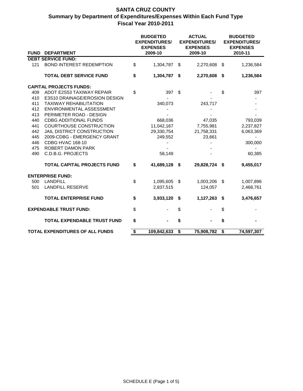|             |                                                              |    | <b>BUDGETED</b><br><b>EXPENDITURES/</b><br><b>EXPENSES</b> |    | <b>ACTUAL</b><br><b>EXPENDITURES/</b><br><b>EXPENSES</b> |         | <b>BUDGETED</b><br><b>EXPENDITURES/</b><br><b>EXPENSES</b> |  |
|-------------|--------------------------------------------------------------|----|------------------------------------------------------------|----|----------------------------------------------------------|---------|------------------------------------------------------------|--|
| <b>FUND</b> | <b>DEPARTMENT</b>                                            |    | 2009-10                                                    |    | 2009-10                                                  | 2010-11 |                                                            |  |
|             | <b>DEBT SERVICE FUND:</b>                                    |    |                                                            |    |                                                          |         |                                                            |  |
| 121         | <b>BOND INTEREST REDEMPTION</b>                              | \$ | 1,304,787                                                  | \$ | 2,270,608                                                | \$      | 1,236,584                                                  |  |
|             | <b>TOTAL DEBT SERVICE FUND</b>                               | \$ | 1,304,787                                                  | \$ | 2,270,608                                                | \$      | 1,236,584                                                  |  |
|             | <b>CAPITAL PROJECTS FUNDS:</b>                               |    |                                                            |    |                                                          |         |                                                            |  |
| 409         | ADOT E2S53 TAXIWAY REPAIR                                    | \$ | 397                                                        | \$ |                                                          | \$      | 397                                                        |  |
| 410         | E3S10 DRAINAGE/EROSION DESIGN                                |    |                                                            |    |                                                          |         |                                                            |  |
| 411         | <b>TAXIWAY REHABILITATION</b>                                |    | 340,073                                                    |    | 243,717                                                  |         |                                                            |  |
| 412         | ENVIRONMENTAL ASSESSMENT                                     |    |                                                            |    |                                                          |         |                                                            |  |
| 413         | PERIMETER ROAD - DESIGN                                      |    |                                                            |    |                                                          |         |                                                            |  |
| 440         | <b>CDBG ADDITIONAL FUNDS</b>                                 |    | 668,036                                                    |    | 47,035                                                   |         | 793,039                                                    |  |
| 441<br>442  | <b>COURTHOUSE CONSTRUCTION</b><br>JAIL DISTRICT CONSTRUCTION |    | 11,042,167                                                 |    | 7,755,981                                                |         | 2,237,827                                                  |  |
| 445         | 2009-CDBG - EMERGENCY GRANT                                  |    | 29,330,754<br>249,552                                      |    | 21,758,331<br>23,661                                     |         | 6,063,369                                                  |  |
| 446         | CDBG HVAC 168-10                                             |    |                                                            |    |                                                          |         | 300,000                                                    |  |
| 475         | ROBERT DAMON PARK                                            |    |                                                            |    |                                                          |         |                                                            |  |
| 490         | <b>C.D.B.G. PROJECTS</b>                                     |    | 58,149                                                     |    |                                                          |         | 60,385                                                     |  |
|             | <b>TOTAL CAPITAL PROJECTS FUND</b>                           | \$ | 41,689,128                                                 | \$ | 29,828,724                                               | \$      | 9,455,017                                                  |  |
|             |                                                              |    |                                                            |    |                                                          |         |                                                            |  |
|             | <b>ENTERPRISE FUND:</b>                                      |    |                                                            |    |                                                          |         |                                                            |  |
| 500<br>501  | <b>LANDFILL</b><br><b>LANDFILL RESERVE</b>                   | \$ | 1,095,605<br>2,837,515                                     | \$ | 1,003,206<br>124,057                                     | \$      | 1,007,896<br>2,468,761                                     |  |
|             |                                                              |    |                                                            |    |                                                          |         |                                                            |  |
|             | <b>TOTAL ENTERPRISE FUND</b>                                 | \$ | 3,933,120                                                  | \$ | 1,127,263                                                | -\$     | 3,476,657                                                  |  |
|             | <b>EXPENDABLE TRUST FUND:</b>                                | \$ |                                                            | \$ |                                                          | \$      |                                                            |  |
|             | <b>TOTAL EXPENDABLE TRUST FUND</b>                           | \$ |                                                            | \$ |                                                          | \$      |                                                            |  |
|             | <b>TOTAL EXPENDITURES OF ALL FUNDS</b>                       | \$ | 109,842,633                                                | \$ | 75,908,782                                               | \$      | 74,597,307                                                 |  |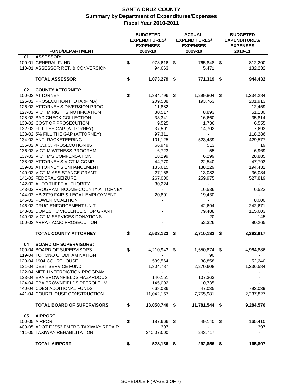|                 | <b>FUND/DEPARTMENT</b>                 | <b>BUDGETED</b><br><b>EXPENDITURES/</b><br><b>EXPENSES</b><br>2009-10 | <b>ACTUAL</b><br><b>EXPENDITURES/</b><br><b>EXPENSES</b><br>2009-10 | <b>BUDGETED</b><br><b>EXPENDITURES/</b><br><b>EXPENSES</b><br>2010-11 |
|-----------------|----------------------------------------|-----------------------------------------------------------------------|---------------------------------------------------------------------|-----------------------------------------------------------------------|
| 01              | ASSESSOR:                              |                                                                       |                                                                     |                                                                       |
|                 | 100-01 GENERAL FUND                    | \$<br>978,616 \$                                                      | 765,848 \$                                                          | 812,200                                                               |
|                 | 110-01 ASSESSOR RET. & CONVERSION      |                                                                       |                                                                     | 132,232                                                               |
|                 |                                        | 94,663                                                                | 5,471                                                               |                                                                       |
|                 | <b>TOTAL ASSESSOR</b>                  | \$<br>1,073,279 \$                                                    | 771,319 \$                                                          | 944,432                                                               |
| 02              | <b>COUNTY ATTORNEY:</b>                |                                                                       |                                                                     |                                                                       |
| 100-02 ATTORNEY |                                        | \$<br>1,384,796 \$                                                    | 1,299,804 \$                                                        | 1,234,284                                                             |
|                 | 125-02 PROSECUTION HIDTA (PIMA)        | 209,588                                                               | 193,763                                                             | 201,913                                                               |
|                 | 126-02 ATTORNEY'S DIVERSION PROG.      | 11,882                                                                | $\blacksquare$                                                      | 12,459                                                                |
|                 | 127-02 VICTIM RIGHTS NOTIFICATION      | 30,517                                                                | 8,893                                                               | 51,130                                                                |
|                 | 128-02 BAD CHECK COLLECTION            | 33,341                                                                | 16,660                                                              | 35,814                                                                |
|                 | 130-02 COST OF PROSECUTION             | 9,525                                                                 | 1,736                                                               | 6,555                                                                 |
|                 | 132-02 FILL THE GAP (ATTORNEY)         | 37,501                                                                | 14,702                                                              | 7,693                                                                 |
|                 | 133-02 5% FILL THE GAP (ATTORNEY)      |                                                                       |                                                                     |                                                                       |
|                 |                                        | 97,311                                                                |                                                                     | 118,286                                                               |
|                 | 134-02 ANTI-RACKETEERING               | 101,125                                                               | 523,439                                                             | 429,577                                                               |
|                 | 135-02 A.C.J.C. PROSECUTION #6         | 66,949                                                                | 513                                                                 | 19                                                                    |
|                 | 136-02 VICTIM WITNESS PROGRAM          | 6,723                                                                 | 55                                                                  | 6,969                                                                 |
|                 | 137-02 VICTIM'S COMPENSATION           | 18,299                                                                | 6,299                                                               | 28,885                                                                |
|                 | 138-02 ATTORNEY'S VICTIM COMP.         | 44,770                                                                | 22,540                                                              | 47,793                                                                |
|                 | 139-02 ATTORNEY'S ENHANCEMENT          | 135,615                                                               | 138,229                                                             | 194,431                                                               |
|                 | 140-02 VICTIM ASSISTANCE GRANT         | 27,158                                                                | 13,082                                                              | 36,084                                                                |
|                 | 141-02 FEDERAL SEIZURE                 | 267,000                                                               | 259,975                                                             | 527,819                                                               |
|                 | 142-02 AUTO THEFT AUTHORITY            | 30,224                                                                | $\blacksquare$                                                      | $\sim$                                                                |
|                 | 143-02 PROGRAM INCOME-COUNTY ATTORNEY  | $\blacksquare$                                                        | 16,536                                                              | 6,522                                                                 |
|                 | 144-02 HB 2779 FAIR & LEGAL EMPLOYMENT | 20,801                                                                | 19,430                                                              | $\sim$                                                                |
|                 | 145-02 POWER COALITION                 |                                                                       |                                                                     | 8,000                                                                 |
|                 | 146-02 DRUG ENFORCEMENT UNIT           |                                                                       | 42,694                                                              | 242,671                                                               |
|                 | 148-02 DOMESTIC VIOLENCE STOP GRANT    |                                                                       | 79,488                                                              | 115,603                                                               |
|                 | 149-02 VICTIM SERVICES DONATIONS       |                                                                       | 20                                                                  | 145                                                                   |
|                 | 150-02 ARRA - ACJC PROSECUTION         |                                                                       | 52,326                                                              | 80,265                                                                |
|                 | <b>TOTAL COUNTY ATTORNEY</b>           | \$<br>2,533,123 \$                                                    | 2,710,182 \$                                                        | 3,392,917                                                             |
|                 |                                        |                                                                       |                                                                     |                                                                       |
| 04              | <b>BOARD OF SUPERVISORS:</b>           |                                                                       |                                                                     |                                                                       |
|                 | 100-04 BOARD OF SUPERVISORS            | \$<br>4,210,943                                                       | \$<br>1,550,874 \$                                                  | 4,964,886                                                             |
|                 | 119-04 TOHONO O' ODHAM NATION          | $\overline{\phantom{a}}$                                              | 90                                                                  | $\sim$                                                                |
|                 | 120-04 1904 COURTHOUSE                 | 539,564                                                               | 38,858                                                              | 52,240                                                                |
|                 | 121-04 DEBT SERVICE FUND               | 1,304,787                                                             | 2,270,608                                                           | 1,236,584                                                             |
|                 | 122-04 METH INTERDICTION PROGRAM       | $\sim$                                                                | $\sim$                                                              |                                                                       |
|                 | 123-04 EPA BROWNFIELDS HAZARDOUS       | 140,151                                                               | 107,363                                                             |                                                                       |
|                 | 124-04 EPA BROWNFIELDS PETROLEUM       | 145.092                                                               | 10,735                                                              |                                                                       |
|                 | 440-04 CDBG ADDITIONAL FUNDS           | 668,036                                                               | 47,035                                                              | 793,039                                                               |
|                 | 441-04 COURTHOUSE CONSTRUCTION         | 11,042,167                                                            | 7,755,981                                                           | 2,237,827                                                             |
|                 |                                        |                                                                       |                                                                     |                                                                       |
|                 | <b>TOTAL BOARD OF SUPERVISORS</b>      | \$<br>18,050,740 \$                                                   | 11,781,544 \$                                                       | 9,284,576                                                             |
| 05              | <b>AIRPORT:</b>                        |                                                                       |                                                                     |                                                                       |
| 100-05 AIRPORT  |                                        | \$<br>187,666 \$                                                      | 49,140 \$                                                           | 165,410                                                               |
|                 | 409-05 ADOT E2S53 EMERG TAXIWAY REPAIR | 397                                                                   |                                                                     | 397                                                                   |
|                 | 411-05 TAXIWAY REHABILITATION          | 340,073.00                                                            | 243,717                                                             | $\sim$                                                                |
|                 |                                        |                                                                       |                                                                     |                                                                       |
|                 | <b>TOTAL AIRPORT</b>                   | \$<br>528,136 \$                                                      | 292,856 \$                                                          | 165,807                                                               |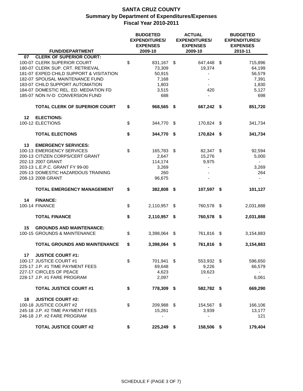|                                                                                                                                                                                                                                                                    |    | <b>BUDGETED</b><br><b>EXPENDITURES/</b><br><b>EXPENSES</b> | <b>ACTUAL</b><br><b>EXPENDITURES/</b><br><b>EXPENSES</b> | <b>BUDGETED</b><br><b>EXPENDITURES/</b><br><b>EXPENSES</b>                           |  |
|--------------------------------------------------------------------------------------------------------------------------------------------------------------------------------------------------------------------------------------------------------------------|----|------------------------------------------------------------|----------------------------------------------------------|--------------------------------------------------------------------------------------|--|
| <b>FUND/DEPARTMENT</b>                                                                                                                                                                                                                                             |    | 2009-10                                                    | 2009-10                                                  | 2010-11                                                                              |  |
| <b>CLERK OF SUPERIOR COURT:</b><br>07<br>100-07 CLERK SUPERIOR COURT<br>180-07 CLERK SUP. CRT. RETRIEVAL<br>181-07 EXPED CHILD SUPPORT & VISITATION<br>182-07 SPOUSAL MAINTENANCE FUND<br>183-07 CHILD SUPPORT AUTOMATION<br>184-07 DOMESTIC REL. ED. MEDIATION FD | \$ | 831,167 \$<br>73,309<br>50,915<br>7,168<br>1,803<br>3,515  | 647,448<br>19,374<br>$\overline{a}$<br>420               | - \$<br>715,896<br>64,199<br>56,579<br>7,391<br>1,830<br>5,127                       |  |
| 185-07 NON IV-D CONVERSION FUND                                                                                                                                                                                                                                    |    | 688                                                        |                                                          | 698                                                                                  |  |
| <b>TOTAL CLERK OF SUPERIOR COURT</b>                                                                                                                                                                                                                               | \$ | 968,565 \$                                                 | 667,242 \$                                               | 851,720                                                                              |  |
| $12 \,$<br><b>ELECTIONS:</b><br>100-12 ELECTIONS                                                                                                                                                                                                                   | \$ | 344,770 \$                                                 | 170,824 \$                                               | 341,734                                                                              |  |
| <b>TOTAL ELECTIONS</b>                                                                                                                                                                                                                                             | \$ | 344,770 \$                                                 | 170,824                                                  | 341,734<br>- \$                                                                      |  |
| 13<br><b>EMERGENCY SERVICES:</b><br>100-13 EMERGENCY SERVICES<br>200-13 CITIZEN CORPS/CERT GRANT<br>202-13 2007 GRANT<br>203-13 L.E.P.C. GRANT FY 99-00<br>205-13 DOMESTIC HAZARDOUS TRAINING<br>208-13 2008 GRANT                                                 | \$ | 165,783<br>2,647<br>114,174<br>3,269<br>260<br>96,675      | 82,347<br>-\$<br>15,276<br>9,975<br>٠                    | -\$<br>92,594<br>5,000<br>$\blacksquare$<br>3,269<br>264<br>$\overline{\phantom{a}}$ |  |
| <b>TOTAL EMERGENCY MANAGEMENT</b>                                                                                                                                                                                                                                  | \$ | 382,808                                                    | 107,597 \$<br>- \$                                       | 101,127                                                                              |  |
| <b>FINANCE:</b><br>14<br><b>100-14 FINANCE</b>                                                                                                                                                                                                                     | \$ | 2,110,957                                                  | 760,578 \$<br>- \$                                       | 2,031,888                                                                            |  |
| <b>TOTAL FINANCE</b>                                                                                                                                                                                                                                               | \$ | 2,110,957 \$                                               | 760,578 \$                                               | 2,031,888                                                                            |  |
| 15<br><b>GROUNDS AND MAINTENANCE:</b><br>100-15 GROUNDS & MAINTENANCE                                                                                                                                                                                              | \$ | 3,398,064                                                  | \$<br>761,816                                            | -\$<br>3,154,883                                                                     |  |
| <b>TOTAL GROUNDS AND MAINTENANCE</b>                                                                                                                                                                                                                               | \$ | 3,398,064                                                  | 761,816<br>\$                                            | 3,154,883<br>\$                                                                      |  |
| <b>JUSTICE COURT #1:</b><br>17<br>100-17 JUSTICE COURT #1<br>225-17 J.P. #1 TIME PAYMENT FEES<br>227-17 CIRCLES OF PEACE<br>228-17 J.P. #1 FARE PROGRAM                                                                                                            | \$ | 701,941 \$<br>69,648<br>4,623<br>2,097                     | 553,932 \$<br>9,226<br>19,623<br>۰                       | 596,650<br>66,579<br>$\sim$<br>6,061                                                 |  |
| <b>TOTAL JUSTICE COURT #1</b>                                                                                                                                                                                                                                      | \$ | 778,309 \$                                                 | 582,782 \$                                               | 669,290                                                                              |  |
| 18<br><b>JUSTICE COURT #2:</b><br>100-18 JUSTICE COURT #2<br>245-18 J.P. #2 TIME PAYMENT FEES<br>246-18 J.P. #2 FARE PROGRAM                                                                                                                                       | \$ | 209,988 \$<br>15,261                                       | 154,567 \$<br>3,939                                      | 166,106<br>13,177<br>121                                                             |  |
| <b>TOTAL JUSTICE COURT #2</b>                                                                                                                                                                                                                                      | \$ | 225,249 \$                                                 | 158,506 \$                                               | 179,404                                                                              |  |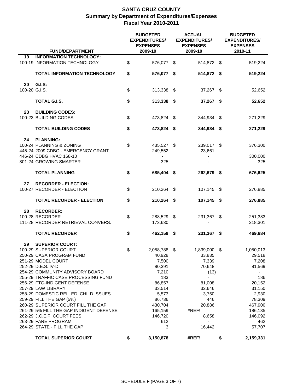|                     | <b>FUND/DEPARTMENT</b>                                                                                                                                                                                                                                                                                                                                                                                                                                                                           | <b>BUDGETED</b><br><b>EXPENDITURES/</b><br><b>EXPENSES</b><br>2009-10                                                                            | <b>ACTUAL</b><br><b>EXPENDITURES/</b><br><b>EXPENSES</b><br>2009-10                                                                             | <b>BUDGETED</b><br><b>EXPENDITURES/</b><br><b>EXPENSES</b><br>2010-11                                                                                          |
|---------------------|--------------------------------------------------------------------------------------------------------------------------------------------------------------------------------------------------------------------------------------------------------------------------------------------------------------------------------------------------------------------------------------------------------------------------------------------------------------------------------------------------|--------------------------------------------------------------------------------------------------------------------------------------------------|-------------------------------------------------------------------------------------------------------------------------------------------------|----------------------------------------------------------------------------------------------------------------------------------------------------------------|
| 19                  | <b>INFORMATION TECHNOLOGY:</b><br>100-19 INFORMATION TECHNOLOGY                                                                                                                                                                                                                                                                                                                                                                                                                                  | \$<br>576,077 \$                                                                                                                                 | 514,872 \$                                                                                                                                      | 519,224                                                                                                                                                        |
|                     | <b>TOTAL INFORMATION TECHNOLOGY</b>                                                                                                                                                                                                                                                                                                                                                                                                                                                              | \$<br>576,077 \$                                                                                                                                 | 514,872 \$                                                                                                                                      | 519,224                                                                                                                                                        |
| 20<br>100-20 G.I.S. | G.I.S:                                                                                                                                                                                                                                                                                                                                                                                                                                                                                           | \$<br>313,338 \$                                                                                                                                 | 37,267 \$                                                                                                                                       | 52,652                                                                                                                                                         |
|                     | TOTAL G.I.S.                                                                                                                                                                                                                                                                                                                                                                                                                                                                                     | \$<br>313,338 \$                                                                                                                                 | 37,267 \$                                                                                                                                       | 52,652                                                                                                                                                         |
| 23                  | <b>BUILDING CODES:</b><br>100-23 BUILDING CODES                                                                                                                                                                                                                                                                                                                                                                                                                                                  | \$<br>473,824 \$                                                                                                                                 | 344,934 \$                                                                                                                                      | 271,229                                                                                                                                                        |
|                     | <b>TOTAL BUILDING CODES</b>                                                                                                                                                                                                                                                                                                                                                                                                                                                                      | \$<br>473,824 \$                                                                                                                                 | 344,934 \$                                                                                                                                      | 271,229                                                                                                                                                        |
| 24                  | <b>PLANNING:</b><br>100-24 PLANNING & ZONING<br>445-24 2009 CDBG - EMERGENCY GRANT<br>446-24 CDBG HVAC 168-10<br>801-24 GROWING SMARTER                                                                                                                                                                                                                                                                                                                                                          | \$<br>435,527 \$<br>249,552<br>$\overline{\phantom{a}}$<br>325                                                                                   | 239,017 \$<br>23,661                                                                                                                            | 376,300<br>300,000<br>325                                                                                                                                      |
|                     | <b>TOTAL PLANNING</b>                                                                                                                                                                                                                                                                                                                                                                                                                                                                            | \$<br>685,404 \$                                                                                                                                 | 262,679 \$                                                                                                                                      | 676,625                                                                                                                                                        |
| 27                  | <b>RECORDER - ELECTION:</b><br>100-27 RECORDER - ELECTION                                                                                                                                                                                                                                                                                                                                                                                                                                        | \$<br>210,264 \$                                                                                                                                 | 107,145 \$                                                                                                                                      | 276,885                                                                                                                                                        |
|                     | <b>TOTAL RECORDER - ELECTION</b>                                                                                                                                                                                                                                                                                                                                                                                                                                                                 | \$<br>210,264 \$                                                                                                                                 | 107,145 \$                                                                                                                                      | 276,885                                                                                                                                                        |
| 28                  | <b>RECORDER:</b><br>100-28 RECORDER<br>111-28 RECORDER RETRIEVAL CONVERS.                                                                                                                                                                                                                                                                                                                                                                                                                        | \$<br>288,529 \$<br>173,630                                                                                                                      | 231,367 \$                                                                                                                                      | 251,383<br>218,301                                                                                                                                             |
|                     | <b>TOTAL RECORDER</b>                                                                                                                                                                                                                                                                                                                                                                                                                                                                            | \$<br>462,159 \$                                                                                                                                 | 231,367 \$                                                                                                                                      | 469,684                                                                                                                                                        |
| 29                  | <b>SUPERIOR COURT:</b><br>100-29 SUPERIOR COURT<br>250-29 CASA PROGRAM FUND<br>251-29 MODEL COURT<br>252-29 D.E.S. IV-D<br>254-29 COMMUNITY ADVISORY BOARD<br>255-29 TRAFFIC CASE PROCESSING FUND<br>256-29 FTG-INDIGENT DEFENSE<br>257-29 LAW LIBRARY<br>258-29 DOMESTIC REL. ED. CHILD ISSUES<br>259-29 FILL THE GAP (5%)<br>260-29 SUPERIOR COURT FILL THE GAP<br>261-29 5% FILL THE GAP INDIGENT DEFENSE<br>262-29 J.C.E.F. COURT FEES<br>263-29 FARE PROGRAM<br>264-29 STATE - FILL THE GAP | \$<br>2,058,788<br>40,928<br>7,500<br>80,391<br>7,210<br>183<br>86,857<br>33,514<br>5,573<br>86,736<br>430,704<br>165,159<br>146,720<br>612<br>3 | \$<br>1,839,000<br>33,835<br>7,339<br>70,648<br>(13)<br>$\frac{1}{2}$<br>81,008<br>32,646<br>3,750<br>446<br>20,886<br>#REF!<br>8,658<br>16,442 | \$<br>1,050,013<br>29,518<br>7,208<br>81,569<br>$\blacksquare$<br>186<br>20,152<br>31,150<br>2,930<br>78,309<br>467,900<br>186,135<br>146,092<br>462<br>57,707 |
|                     | <b>TOTAL SUPERIOR COURT</b>                                                                                                                                                                                                                                                                                                                                                                                                                                                                      | \$<br>3,150,878                                                                                                                                  | #REF!                                                                                                                                           | \$<br>2,159,331                                                                                                                                                |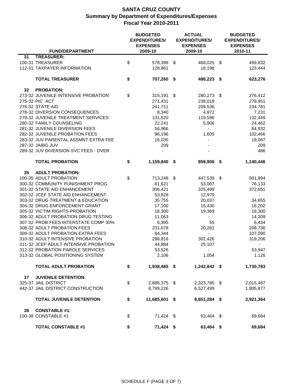|    |                                       | <b>BUDGETED</b><br><b>EXPENDITURES/</b><br><b>EXPENSES</b> | <b>ACTUAL</b><br><b>EXPENDITURES/</b><br><b>EXPENSES</b> |                          | <b>BUDGETED</b><br><b>EXPENDITURES/</b><br><b>EXPENSES</b> |           |
|----|---------------------------------------|------------------------------------------------------------|----------------------------------------------------------|--------------------------|------------------------------------------------------------|-----------|
|    | <b>FUND/DEPARTMENT</b>                | 2009-10                                                    |                                                          | 2009-10                  |                                                            | 2010-11   |
| 31 | <b>TREASURER:</b>                     |                                                            |                                                          |                          |                                                            |           |
|    | 100-31 TREASURER                      | \$<br>578,399 \$                                           |                                                          | 468,025 \$               |                                                            | 499,832   |
|    | 112-31 TAXPAYER INFORMATION           | 128,861                                                    |                                                          | 18,198                   |                                                            | 123,444   |
|    | <b>TOTAL TREASURER</b>                | \$<br>707,260 \$                                           |                                                          | 486,223 \$               |                                                            | 623,276   |
| 32 | <b>PROBATION:</b>                     |                                                            |                                                          |                          |                                                            |           |
|    | 273-32 JUVENILE INTENSIVE PROBATION   | \$<br>$315,191$ \$                                         |                                                          | 280,273                  | - \$                                                       | 276,412   |
|    | 275-32 PIC ACT                        | 271,431                                                    |                                                          | 238,018                  |                                                            | 278,951   |
|    | 276-32 STATE AID                      | 241,711                                                    |                                                          | 209,536                  |                                                            | 234,781   |
|    | 278-32 DIVERSION CONSEQUENCES         | 8,340                                                      |                                                          | 4,972                    |                                                            | 7,231     |
|    | 279-32 JUVENILE TREATMENT SERVICES    | 131,520                                                    |                                                          | 119,596                  |                                                            | 132,449   |
|    | 280-32 FAMILY COUNSELING              | 22,241                                                     |                                                          | 5,906                    |                                                            | 24,462    |
|    | 281-32 JUVENILE DIVERSION FEES        | 56,966                                                     |                                                          |                          |                                                            | 64,932    |
|    | 282-32 JUVENILE PROBATION FEES        | 96,196                                                     |                                                          | 1,605                    |                                                            | 102,466   |
|    | 283-32 JUV PARENTAL ASSMNT EXTRA FEE  | 16,035                                                     |                                                          |                          |                                                            | 18,067    |
|    | 287-32 JAIBG JUV                      | 209                                                        |                                                          |                          |                                                            | 209       |
|    | 289-32 JUV DIVERSION SVC FEES - OVER  |                                                            |                                                          |                          |                                                            | 486       |
|    | <b>TOTAL PROBATION</b>                | \$<br>1,159,840 \$                                         |                                                          | 859,906 \$               |                                                            | 1,140,446 |
|    |                                       |                                                            |                                                          |                          |                                                            |           |
| 35 | <b>ADULT PROBATION:</b>               |                                                            |                                                          |                          |                                                            |           |
|    | 100-35 ADULT PROBATION                | \$<br>713,248 \$                                           |                                                          | 447,539 \$               |                                                            | 501,994   |
|    | 300-32 COMMUNITY PUNISHMENT PROG.     | 61,621                                                     |                                                          | 53,067                   |                                                            | 76,133    |
|    | 301-32 STATE AID ENHANCEMENT          | 306,421                                                    |                                                          | 325,499                  |                                                            | 372,651   |
|    | 302-32 JCEF STATE AID ENHANCEMENT     | 53,828                                                     |                                                          | 12,979                   |                                                            | $\sim$    |
|    | 303-32 DRUG TREATMENT & EDUCATION     | 35,755                                                     |                                                          | 20,037                   |                                                            | 34,655    |
|    | 304-32 DRUG ENFORCEMENT GRANT         | 17,100                                                     |                                                          | 15,430                   |                                                            | 16,202    |
|    | 305-32 VICTIM RIGHTS-PROBATION        | 18,300                                                     |                                                          | 19,369                   |                                                            | 18,300    |
|    | 306-32 ADULT PROBATION DRUG TESTING   | 11,063                                                     |                                                          |                          |                                                            | 14,309    |
|    | 307-32 PROB FEES INTERSTATE COMP 30%  | 6,395                                                      |                                                          | 55                       |                                                            | 6,434     |
|    | 308-32 ADULT PROBATION FEES           | 231,078                                                    |                                                          | 20,281                   |                                                            | 208,736   |
|    | 309-32 ADULT PROBATION EXTRA FEES     | 84,344                                                     |                                                          | ä,                       |                                                            | 107,090   |
|    | 310-32 ADULT INTENSIVE PROBATION      | 298,816                                                    |                                                          | 302,426                  |                                                            | 319,206   |
|    | 311-32 JCEF ADULT INTENSIVE PROBATION | 44,884                                                     |                                                          | 25,107                   |                                                            |           |
|    | 312-32 PROBATION PAROLE SERVICES      | 53,526                                                     |                                                          | $\overline{\phantom{a}}$ |                                                            | 53,947    |
|    | 313-32 GLOBAL POSITIONING SYSTEM      | 2,106                                                      |                                                          | 1,054                    |                                                            | 1,126     |
|    | <b>TOTAL ADULT PROBATION</b>          | \$<br>1,938,485 \$                                         |                                                          | 1,242,842 \$             |                                                            | 1,730,783 |
| 37 | <b>JUVENILE DETENTION:</b>            |                                                            |                                                          |                          |                                                            |           |
|    | 325-37 JAIL DISTRICT                  | \$<br>2,886,375 \$                                         |                                                          | 2,323,785 \$             |                                                            | 2,015,487 |
|    | 442-37 JAIL DISTRICT CONSTRUCTION     | 8,799,226                                                  |                                                          | 6,527,499                |                                                            | 1,905,877 |
|    | <b>TOTAL JUVENILE DETENTION</b>       | \$<br>11,685,601 \$                                        |                                                          | 8,851,284 \$             |                                                            | 3,921,364 |
|    |                                       |                                                            |                                                          |                          |                                                            |           |
| 38 | <b>CONSTABLE #1:</b>                  |                                                            |                                                          |                          |                                                            |           |
|    | 100-38 CONSTABLE #1                   | \$<br>71,424 \$                                            |                                                          | 63,464 \$                |                                                            | 69,684    |
|    |                                       |                                                            |                                                          |                          |                                                            |           |
|    | <b>TOTAL CONSTABLE #1</b>             | \$<br>71,424 \$                                            |                                                          | 63,464 \$                |                                                            | 69,684    |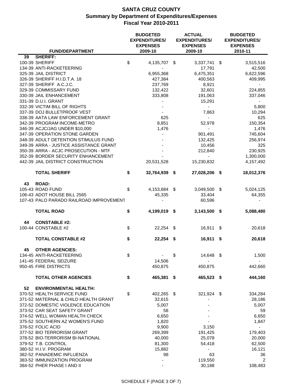|    | <b>FUND/DEPARTMENT</b>                  | <b>BUDGETED</b><br><b>EXPENDITURES/</b><br><b>EXPENSES</b><br>2009-10 |               | <b>ACTUAL</b><br><b>EXPENDITURES/</b><br><b>EXPENSES</b><br>2009-10 |    | <b>BUDGETED</b><br><b>EXPENDITURES/</b><br><b>EXPENSES</b><br>2010-11 |
|----|-----------------------------------------|-----------------------------------------------------------------------|---------------|---------------------------------------------------------------------|----|-----------------------------------------------------------------------|
| 39 | <b>SHERIFF:</b>                         |                                                                       |               |                                                                     |    |                                                                       |
|    | 100-39 SHERIFF                          | \$<br>4,135,707 \$                                                    |               | 3,337,741                                                           | S. | 3,515,516                                                             |
|    | 134-39 ANTI-RACKETEERING                |                                                                       |               | 17,791                                                              |    | 42,500                                                                |
|    | 325-39 JAIL DISTRICT                    | 6,955,368                                                             |               | 6,475,351                                                           |    | 6,622,596                                                             |
|    | 326-39 SHERIFF H.I.D.T.A. 18            | 427,384                                                               |               | 400,563                                                             |    | 409,995                                                               |
|    | 327-39 SHERIFF A.C.J.C.                 | 237,769                                                               |               | 8,921                                                               |    | $\overline{\phantom{a}}$                                              |
|    | 329-39 COMMISSARY FUND                  | 132,422                                                               |               | 32,601                                                              |    | 224,855                                                               |
|    | 330-39 JAIL ENHANCEMENT                 | 333,808                                                               |               | 191,063                                                             |    | 337,046                                                               |
|    | 331-39 D.U.I. GRANT                     |                                                                       |               | 15,291                                                              |    | $\sim$                                                                |
|    | 332-39 VICTIM BILL OF RIGHTS            |                                                                       |               | $\overline{\phantom{a}}$                                            |    | 5,800                                                                 |
|    | 337-39 DOJ BULLETPROOF VEST             |                                                                       |               | 7,863                                                               |    | 10,294                                                                |
|    | 338-39 AATA LAW ENFORCEMENT GRANT       | 625                                                                   |               |                                                                     |    | 625                                                                   |
|    | 342-39 PROGRAM INCOME-METRO             | 8,851                                                                 |               | 52,978                                                              |    | 150,354                                                               |
|    | 346-39 ACJC/JAG UNDER \$10,000          | 1,476                                                                 |               |                                                                     |    | 1,476                                                                 |
|    | 347-39 OPERATION STONE GARDEN           |                                                                       |               | 901,491                                                             |    | 745,604                                                               |
|    | 348-39 ADULT DETENTION STIMULUS FUND    |                                                                       |               | 132,425                                                             |    | 256,974                                                               |
|    | 349-39 ARRA - JUSTICE ASSISTANCE GRANT  |                                                                       |               | 10,456                                                              |    | 325                                                                   |
|    | 350-39 ARRA - ACJC PROSECUTION - MTF    |                                                                       |               | 212,840                                                             |    | 230,925                                                               |
|    | 352-39 BORDER SECURITY ENHANCEMENT      |                                                                       |               | $\blacksquare$                                                      |    | 1,300,000                                                             |
|    | 442-39 JAIL DISTRICT CONSTRUCTION       | 20,531,528                                                            |               | 15,230,832                                                          |    | 4,157,492                                                             |
|    | <b>TOTAL SHERIFF</b>                    | \$<br>32,764,939 \$                                                   |               | 27,028,206 \$                                                       |    | 18,012,376                                                            |
| 43 | <b>ROAD:</b>                            |                                                                       |               |                                                                     |    |                                                                       |
|    | 105-43 ROAD FUND                        | \$<br>4,153,684 \$                                                    |               | 3,049,500                                                           | S. | 5,024,125                                                             |
|    | 106-43 ADOT HOUSE BILL 2565             | 45,335                                                                |               | 33,404                                                              |    | 64,355                                                                |
|    | 107-43 PALO PARADO RAILROAD IMPROVEMENT |                                                                       |               | 60,596                                                              |    |                                                                       |
|    | <b>TOTAL ROAD</b>                       | \$<br>4,199,019 \$                                                    |               | $3,143,500$ \$                                                      |    | 5,088,480                                                             |
|    |                                         |                                                                       |               |                                                                     |    |                                                                       |
| 44 | <b>CONSTABLE #2:</b>                    |                                                                       |               |                                                                     |    |                                                                       |
|    | 100-44 CONSTABLE #2                     | \$<br>$22,254$ \$                                                     |               | 16,911                                                              | \$ | 20,618                                                                |
|    | <b>TOTAL CONSTABLE #2</b>               | \$<br>22,254                                                          | S             | 16,911                                                              | \$ | 20,618                                                                |
| 45 | <b>OTHER AGENCIES:</b>                  |                                                                       |               |                                                                     |    |                                                                       |
|    | 134-45 ANTI-RACKETEERING                | \$                                                                    | $\frac{1}{2}$ | 14,648 \$                                                           |    | 1,500                                                                 |
|    | 141-45 FEDERAL SEIZURE                  | 14,506                                                                |               |                                                                     |    |                                                                       |
|    | 950-45 FIRE DISTRICTS                   | 450,875                                                               |               | 450,875                                                             |    | 442,660                                                               |
|    | <b>TOTAL OTHER AGENCIES</b>             | \$<br>465,381                                                         | S.            | 465,523 \$                                                          |    | 444,160                                                               |
| 52 | <b>ENVIRONMENTAL HEALTH:</b>            |                                                                       |               |                                                                     |    |                                                                       |
|    | 370-52 HEALTH SERVICE FUND              | \$<br>402,265 \$                                                      |               | 321,924 \$                                                          |    | 334,284                                                               |
|    | 371-52 MATERNAL & CHILD HEALTH GRANT    | 32,615                                                                |               |                                                                     |    | 28,186                                                                |
|    | 372-52 DOMESTIC VIOLENCE EDUCATION      | 5,007                                                                 |               |                                                                     |    | 5,007                                                                 |
|    | 373-52 CAR SEAT SAFETY GRANT            | 58                                                                    |               |                                                                     |    | 59                                                                    |
|    | 374-52 WELL WOMAN HEALTH CHECK          | 6,650                                                                 |               |                                                                     |    | 6,650                                                                 |
|    | 375-52 SOUTHERN AZ WOMEN'S FUND         | 1,820                                                                 |               |                                                                     |    | 1,847                                                                 |
|    | 376-52 FOLIC ACID                       | 9,900                                                                 |               | 3,150                                                               |    |                                                                       |
|    | 377-52 BIO TERRORISM GRANT              | 269,399                                                               |               | 191,425                                                             |    | 179,403                                                               |
|    | 378-52 BIO-TERRORISM BI-NATIONAL        | 40,000                                                                |               | 25,078                                                              |    | 20,000                                                                |
|    | 379-52 T.B. CONTROL                     | 81,300                                                                |               | 54,418                                                              |    | 62,500                                                                |
|    | 380-52 H.I.V. PROGRAM                   | 15,882                                                                |               |                                                                     |    | 16,121                                                                |
|    | 382-52 PANADEMIC INFLUENZA              | 98                                                                    |               | 63                                                                  |    | 36                                                                    |
|    | 383-52 IMMUNIZATION PROGRAM             | -                                                                     |               | 119,550                                                             |    | 2                                                                     |
|    | 384-52 PHER PHASE I AND II              |                                                                       |               | 30,188                                                              |    | 108,483                                                               |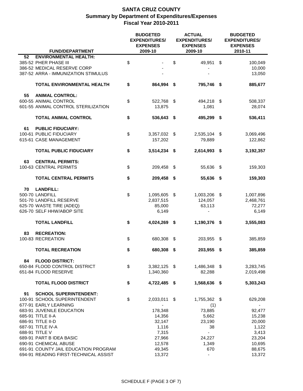|    | <b>FUND/DEPARTMENT</b>                |    | <b>BUDGETED</b><br><b>EXPENDITURES/</b><br><b>EXPENSES</b><br>2009-10 |     | <b>ACTUAL</b><br><b>EXPENDITURES/</b><br><b>EXPENSES</b><br>2009-10 |    | <b>BUDGETED</b><br><b>EXPENDITURES/</b><br><b>EXPENSES</b><br>2010-11 |  |
|----|---------------------------------------|----|-----------------------------------------------------------------------|-----|---------------------------------------------------------------------|----|-----------------------------------------------------------------------|--|
| 52 | <b>ENVIRONMENTAL HEALTH:</b>          |    |                                                                       |     |                                                                     |    |                                                                       |  |
|    | 385-52 PHER PHASE III                 | \$ |                                                                       | \$  | 49,951                                                              | \$ | 100,049                                                               |  |
|    | 386-52 MEDICAL RESERVE CORP           |    |                                                                       |     |                                                                     |    | 10,000                                                                |  |
|    |                                       |    |                                                                       |     |                                                                     |    |                                                                       |  |
|    | 387-52 ARRA - IMMUNIZATION STIMULUS   |    |                                                                       |     |                                                                     |    | 13,050                                                                |  |
|    |                                       |    |                                                                       |     |                                                                     |    |                                                                       |  |
|    | TOTAL ENVIRONMENTAL HEALTH            | \$ | 864,994                                                               | \$  | 795,746                                                             | \$ | 885,677                                                               |  |
|    |                                       |    |                                                                       |     |                                                                     |    |                                                                       |  |
| 55 | <b>ANIMAL CONTROL:</b>                |    |                                                                       |     |                                                                     |    |                                                                       |  |
|    | 600-55 ANIMAL CONTROL                 | \$ | 522,768 \$                                                            |     | 494,218                                                             | \$ | 508,337                                                               |  |
|    | 601-55 ANIMAL CONTROL STERILIZATION   |    | 13,875                                                                |     | 1,081                                                               |    | 28,074                                                                |  |
|    |                                       |    |                                                                       |     |                                                                     |    |                                                                       |  |
|    | <b>TOTAL ANIMAL CONTROL</b>           | \$ | 536,643 \$                                                            |     | 495,299                                                             | S. | 536,411                                                               |  |
|    |                                       |    |                                                                       |     |                                                                     |    |                                                                       |  |
|    |                                       |    |                                                                       |     |                                                                     |    |                                                                       |  |
| 61 | <b>PUBLIC FIDUCIARY:</b>              |    |                                                                       |     |                                                                     |    |                                                                       |  |
|    | 100-61 PUBLIC FIDUCIARY               | \$ | 3,357,032 \$                                                          |     | 2,535,104                                                           | \$ | 3,069,496                                                             |  |
|    | 615-61 CASE MANAGEMENT                |    | 157,202                                                               |     | 79,889                                                              |    | 122,862                                                               |  |
|    |                                       |    |                                                                       |     |                                                                     |    |                                                                       |  |
|    | <b>TOTAL PUBLIC FIDUCIARY</b>         | \$ | $3,514,234$ \$                                                        |     | 2,614,993 \$                                                        |    | 3,192,357                                                             |  |
|    |                                       |    |                                                                       |     |                                                                     |    |                                                                       |  |
| 63 | <b>CENTRAL PERMITS:</b>               |    |                                                                       |     |                                                                     |    |                                                                       |  |
|    | 100-63 CENTRAL PERMITS                | \$ | 209,458                                                               | \$  | 55,636                                                              | \$ | 159,303                                                               |  |
|    |                                       |    |                                                                       |     |                                                                     |    |                                                                       |  |
|    | <b>TOTAL CENTRAL PERMITS</b>          | \$ |                                                                       |     | 55,636 \$                                                           |    |                                                                       |  |
|    |                                       |    | 209,458 \$                                                            |     |                                                                     |    | 159,303                                                               |  |
|    |                                       |    |                                                                       |     |                                                                     |    |                                                                       |  |
| 70 | <b>LANDFILL:</b>                      |    |                                                                       |     |                                                                     |    |                                                                       |  |
|    | 500-70 LANDFILL                       | \$ | 1,095,605                                                             | -\$ | 1,003,206                                                           | \$ | 1,007,896                                                             |  |
|    | 501-70 LANDFILL RESERVE               |    | 2,837,515                                                             |     | 124,057                                                             |    | 2,468,761                                                             |  |
|    | 625-70 WASTE TIRE (ADEQ)              |    | 85,000                                                                |     | 63,113                                                              |    | 72,277                                                                |  |
|    | 626-70 SELF HHW/ABOP SITE             |    | 6,149                                                                 |     |                                                                     |    | 6,149                                                                 |  |
|    |                                       |    |                                                                       |     |                                                                     |    |                                                                       |  |
|    | <b>TOTAL LANDFILL</b>                 | \$ | 4,024,269 \$                                                          |     | 1,190,376 \$                                                        |    | 3,555,083                                                             |  |
|    |                                       |    |                                                                       |     |                                                                     |    |                                                                       |  |
| 83 | <b>RECREATION:</b>                    |    |                                                                       |     |                                                                     |    |                                                                       |  |
|    | 100-83 RECREATION                     | \$ | 680,308                                                               | \$  | 203,955                                                             | \$ | 385,859                                                               |  |
|    |                                       |    |                                                                       |     |                                                                     |    |                                                                       |  |
|    |                                       |    |                                                                       |     |                                                                     |    |                                                                       |  |
|    | <b>TOTAL RECREATION</b>               | \$ | 680,308                                                               | \$  | 203,955                                                             | \$ | 385,859                                                               |  |
|    |                                       |    |                                                                       |     |                                                                     |    |                                                                       |  |
| 84 | <b>FLOOD DISTRICT:</b>                |    |                                                                       |     |                                                                     |    |                                                                       |  |
|    | 650-84 FLOOD CONTROL DISTRICT         | \$ | $3,382,125$ \$                                                        |     | 1,486,348 \$                                                        |    | 3,283,745                                                             |  |
|    | 651-84 FLOOD RESERVE                  |    | 1,340,360                                                             |     | 82,288                                                              |    | 2,019,498                                                             |  |
|    |                                       |    |                                                                       |     |                                                                     |    |                                                                       |  |
|    | <b>TOTAL FLOOD DISTRICT</b>           | \$ | 4,722,485 \$                                                          |     | 1,568,636 \$                                                        |    | 5,303,243                                                             |  |
|    |                                       |    |                                                                       |     |                                                                     |    |                                                                       |  |
| 91 | <b>SCHOOL SUPERINTENDENT:</b>         |    |                                                                       |     |                                                                     |    |                                                                       |  |
|    | 100-91 SCHOOL SUPERINTENDENT          | \$ | 2,033,011                                                             | S.  | 1,755,362 \$                                                        |    | 629,208                                                               |  |
|    | 677-91 EARLY LEARNING                 |    |                                                                       |     |                                                                     |    |                                                                       |  |
|    |                                       |    |                                                                       |     | (1)                                                                 |    |                                                                       |  |
|    | 683-91 JUVENILE EDUCATION             |    | 178,348                                                               |     | 73,885                                                              |    | 92,477                                                                |  |
|    | 685-91 TITLE II-A                     |    | 14,356                                                                |     | 5,662                                                               |    | 15,238                                                                |  |
|    | 686-91 TITLE II-D                     |    | 32,147                                                                |     | 23,190                                                              |    | 20,000                                                                |  |
|    | 687-91 TITLE IV-A                     |    | 1,116                                                                 |     | 38                                                                  |    | 1,122                                                                 |  |
|    | 688-91 TITLE V                        |    | 7,315                                                                 |     |                                                                     |    | 3,413                                                                 |  |
|    | 689-91 PART B IDEA BASIC              |    | 27,966                                                                |     | 24,227                                                              |    | 23,204                                                                |  |
|    | 690-91 CHEMICAL ABUSE                 |    | 12,578                                                                |     | 1,349                                                               |    | 10,695                                                                |  |
|    | 691-91 COUNTY JAIL EDUCATION PROGRAM  |    | 49,345                                                                |     | 670                                                                 |    | 88,675                                                                |  |
|    | 694-91 READING FIRST-TECHNICAL ASSIST |    | 13,372                                                                |     | ÷,                                                                  |    | 13,372                                                                |  |
|    |                                       |    |                                                                       |     |                                                                     |    |                                                                       |  |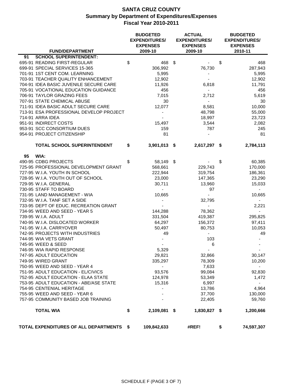|    | <b>FUND/DEPARTMENT</b>                   | <b>BUDGETED</b><br><b>EXPENDITURES/</b><br><b>EXPENSES</b><br>2009-10 |      | <b>ACTUAL</b><br><b>EXPENDITURES/</b><br><b>EXPENSES</b><br>2009-10 | <b>BUDGETED</b><br><b>EXPENDITURES/</b><br><b>EXPENSES</b><br>2010-11 |
|----|------------------------------------------|-----------------------------------------------------------------------|------|---------------------------------------------------------------------|-----------------------------------------------------------------------|
| 91 | <b>SCHOOL SUPERINTENDENT:</b>            |                                                                       |      |                                                                     |                                                                       |
|    | 695-91 READING FIRST-REGULAR             | \$<br>468                                                             | \$   |                                                                     | \$<br>468                                                             |
|    | 699-91 SPECIAL SERVICES 15-365           | 306,992                                                               |      | 76,730                                                              | 287,943                                                               |
|    | 701-91 1ST CENT COM. LEARNING            | 5,995                                                                 |      | ٠                                                                   | 5,995                                                                 |
|    | 703-91 TEACHER QUALITY ENHANCEMENT       | 12,902                                                                |      |                                                                     | 12,902                                                                |
|    | 704-91 IDEA BASIC JUVENILE SECURE CARE   | 11,926                                                                |      | 6,818                                                               | 11,791                                                                |
|    | 705-91 VOCATIONAL EDUCATION GUIDANCE     | 456                                                                   |      | $\overline{\phantom{a}}$                                            | 456                                                                   |
|    | 706-91 TAYLOR GRAZING FEES               | 7,015                                                                 |      | 2,712                                                               | 5,619                                                                 |
|    | 707-91 STATE CHEMICAL ABUSE              | 30                                                                    |      | $\blacksquare$                                                      | 30                                                                    |
|    | 711-91 IDEA BASIC ADULT SECURE CARE      | 12,077                                                                |      | 8,581                                                               | 10,000                                                                |
|    | 713-91 ESA PROFESSIONAL DEVELOP PROJECT  |                                                                       |      | 48,798                                                              | 55,000                                                                |
|    | 714-91 ARRA IDEA                         | $\overline{\phantom{a}}$                                              |      | 18,997                                                              | 23,723                                                                |
|    | 951-91 INDIRECT COSTS                    | 15,497                                                                |      | 3,544                                                               | 2,082                                                                 |
|    | 953-91 SCC CONSORTIUM DUES               | 159                                                                   |      | 787                                                                 | 245                                                                   |
|    | 954-91 PROJECT CITIZENSHIP               | 81                                                                    |      |                                                                     | 81                                                                    |
|    |                                          |                                                                       |      |                                                                     |                                                                       |
|    | TOTAL SCHOOL SUPERINTENDENT              | \$<br>3,901,013 \$                                                    |      | 2,617,297 \$                                                        | 2,784,113                                                             |
| 95 | WIA:                                     |                                                                       |      |                                                                     |                                                                       |
|    | 490-95 CDBG PROJECTS                     | \$<br>58,149                                                          | - \$ |                                                                     | \$<br>60,385                                                          |
|    | 725-95 PROFESSIONAL DEVELOPMENT GRANT    | 568,661                                                               |      | 229,743                                                             | 170,000                                                               |
|    | 727-95 W.I.A. YOUTH IN SCHOOL            | 222,944                                                               |      | 319,754                                                             | 186,361                                                               |
|    | 728-95 W.I.A. YOUTH OUT OF SCHOOL        | 23,000                                                                |      | 147,365                                                             | 23,290                                                                |
|    | 729-95 W.I.A. GENERAL                    | 30,711                                                                |      | 13,960                                                              | 15,033                                                                |
|    | 730-95 STAFF TO BOARD                    |                                                                       |      | 97                                                                  | $\overline{\phantom{a}}$                                              |
|    | 731-95 LAND MANAGEMENT - WIA             | 10,665                                                                |      |                                                                     | 10,665                                                                |
|    | 732-95 W.I.A. TANF SET A SIDE            |                                                                       |      | 32,795                                                              |                                                                       |
|    | 733-95 DEPT OF EDUC. RECREATION GRANT    |                                                                       |      |                                                                     | 2,221                                                                 |
|    | 734-95 WEED AND SEED - YEAR 5            | 144,288                                                               |      | 78,362                                                              |                                                                       |
|    | 739-95 W.I.A. ADULT                      | 331,504                                                               |      | 419,387                                                             | 295,825                                                               |
|    | 740-95 W.I.A. DISLOCATED WORKER          | 64,297                                                                |      | 156,372                                                             | 97,411                                                                |
|    | 741-95 W.I.A. CARRYOVER                  | 50,497                                                                |      | 80,753                                                              | 10,053                                                                |
|    | 742-95 PROJECTS WITH INDUSTRIES          | 49                                                                    |      | $\blacksquare$                                                      | 49                                                                    |
|    | 744-95 WIA VETS GRANT                    |                                                                       |      | 103                                                                 |                                                                       |
|    | 745-95 WEED & SEED                       |                                                                       |      | 6                                                                   |                                                                       |
|    | 746-95 WIA RAPID RESPONSE                | 5,329                                                                 |      |                                                                     |                                                                       |
|    | 747-95 ADULT EDUCATION                   | 29,821                                                                |      | 32,866                                                              | 30,147                                                                |
|    | 749-95 WIRED GRANT                       | 335,297                                                               |      | 78,309                                                              | 10,200                                                                |
|    | 750-95 WEED AND SEED - YEAR 4            | $\blacksquare$                                                        |      | 7,633                                                               | $\blacksquare$                                                        |
|    | 751-95 ADULT EDUCATION - EL/CIVICS       | 93,576                                                                |      | 99,084                                                              | 92,830                                                                |
|    | 752-95 ADULT EDUCATION - ELAA STATE      | 124,978                                                               |      | 53,349                                                              | 1,472                                                                 |
|    | 753-95 ADULT EDUCATION - ABE/ASE STATE   | 15,316                                                                |      | 6,997                                                               |                                                                       |
|    | 754-95 CENTENIAL HERITAGE                |                                                                       |      | 13,786                                                              | 4,964                                                                 |
|    | 755-95 WEED AND SEED - YEAR 6            |                                                                       |      | 37,700                                                              | 130,000                                                               |
|    | 757-95 COMMUNITY BASED JOB TRAINING      |                                                                       |      | 22,405                                                              | 59,760                                                                |
|    | <b>TOTAL WIA</b>                         | \$<br>2,109,081 \$                                                    |      | 1,830,827 \$                                                        | 1,200,666                                                             |
|    | TOTAL EXPENDITURES OF ALL DEPARTMENTS \$ | 109,842,633                                                           |      | #REF!                                                               | \$<br>74,597,307                                                      |